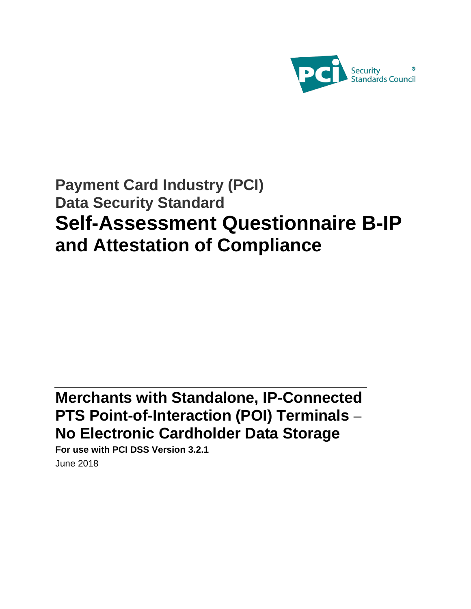

# **Payment Card Industry (PCI) Data Security Standard Self-Assessment Questionnaire B-IP and Attestation of Compliance**

# **Merchants with Standalone, IP-Connected PTS Point-of-Interaction (POI) Terminals – No Electronic Cardholder Data Storage**

**For use with PCI DSS Version 3.2.1** June 2018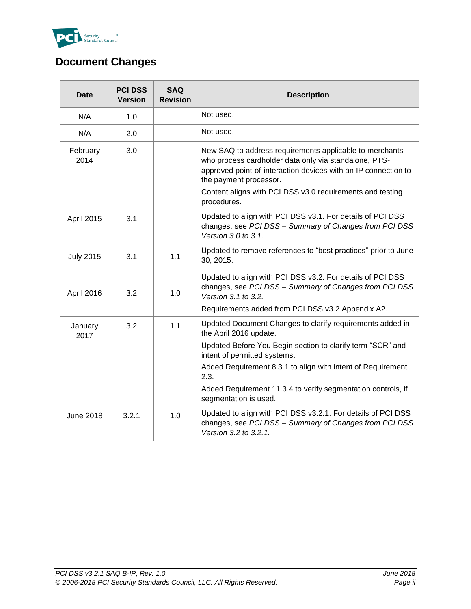

# <span id="page-1-0"></span>**Document Changes**

| <b>Date</b>      | <b>PCI DSS</b><br><b>Version</b> | <b>SAQ</b><br><b>Revision</b> | <b>Description</b>                                                                                                                                                                                                                                                        |
|------------------|----------------------------------|-------------------------------|---------------------------------------------------------------------------------------------------------------------------------------------------------------------------------------------------------------------------------------------------------------------------|
| N/A              | 1.0                              |                               | Not used.                                                                                                                                                                                                                                                                 |
| N/A              | 2.0                              |                               | Not used.                                                                                                                                                                                                                                                                 |
| February<br>2014 | 3.0                              |                               | New SAQ to address requirements applicable to merchants<br>who process cardholder data only via standalone, PTS-<br>approved point-of-interaction devices with an IP connection to<br>the payment processor.<br>Content aligns with PCI DSS v3.0 requirements and testing |
|                  |                                  |                               | procedures.                                                                                                                                                                                                                                                               |
| April 2015       | 3.1                              |                               | Updated to align with PCI DSS v3.1. For details of PCI DSS<br>changes, see PCI DSS - Summary of Changes from PCI DSS<br>Version 3.0 to 3.1.                                                                                                                               |
| <b>July 2015</b> | 3.1                              | 1.1                           | Updated to remove references to "best practices" prior to June<br>30, 2015.                                                                                                                                                                                               |
| April 2016       | 3.2                              | 1.0                           | Updated to align with PCI DSS v3.2. For details of PCI DSS<br>changes, see PCI DSS - Summary of Changes from PCI DSS<br>Version 3.1 to 3.2.                                                                                                                               |
|                  |                                  |                               | Requirements added from PCI DSS v3.2 Appendix A2.                                                                                                                                                                                                                         |
| January<br>2017  | 3.2                              | 1.1                           | Updated Document Changes to clarify requirements added in<br>the April 2016 update.                                                                                                                                                                                       |
|                  |                                  |                               | Updated Before You Begin section to clarify term "SCR" and<br>intent of permitted systems.                                                                                                                                                                                |
|                  |                                  |                               | Added Requirement 8.3.1 to align with intent of Requirement<br>2.3.                                                                                                                                                                                                       |
|                  |                                  |                               | Added Requirement 11.3.4 to verify segmentation controls, if<br>segmentation is used.                                                                                                                                                                                     |
| <b>June 2018</b> | 3.2.1                            | 1.0                           | Updated to align with PCI DSS v3.2.1. For details of PCI DSS<br>changes, see PCI DSS - Summary of Changes from PCI DSS<br>Version 3.2 to 3.2.1.                                                                                                                           |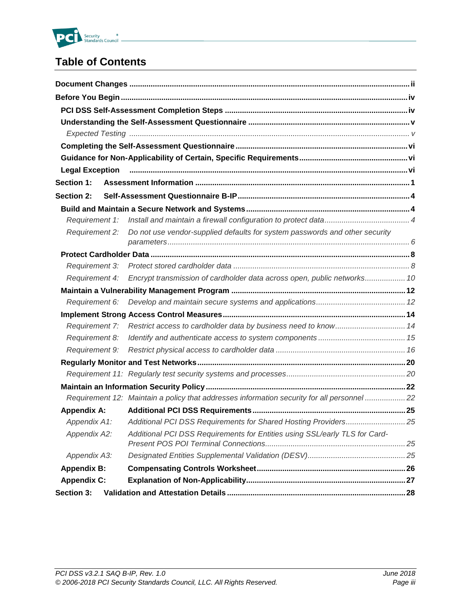

# **Table of Contents**

|                       | Legal Exception <b>manual contract of the contract of the contract of the contract of the contract of the contract of the contract of the contract of the contract of the contract of the contract of the contract of the contra</b> |  |
|-----------------------|--------------------------------------------------------------------------------------------------------------------------------------------------------------------------------------------------------------------------------------|--|
| Section 1:            |                                                                                                                                                                                                                                      |  |
| <b>Section 2:</b>     |                                                                                                                                                                                                                                      |  |
|                       |                                                                                                                                                                                                                                      |  |
| Requirement 1:        |                                                                                                                                                                                                                                      |  |
| Requirement 2:        | Do not use vendor-supplied defaults for system passwords and other security                                                                                                                                                          |  |
|                       |                                                                                                                                                                                                                                      |  |
| Requirement 3:        |                                                                                                                                                                                                                                      |  |
| <b>Requirement 4:</b> | Encrypt transmission of cardholder data across open, public networks 10                                                                                                                                                              |  |
|                       |                                                                                                                                                                                                                                      |  |
| Requirement 6:        |                                                                                                                                                                                                                                      |  |
|                       |                                                                                                                                                                                                                                      |  |
| Requirement 7:        | Restrict access to cardholder data by business need to know 14                                                                                                                                                                       |  |
| Requirement 8:        |                                                                                                                                                                                                                                      |  |
| Requirement 9:        |                                                                                                                                                                                                                                      |  |
|                       |                                                                                                                                                                                                                                      |  |
|                       |                                                                                                                                                                                                                                      |  |
|                       |                                                                                                                                                                                                                                      |  |
|                       | Requirement 12: Maintain a policy that addresses information security for all personnel 22                                                                                                                                           |  |
| <b>Appendix A:</b>    |                                                                                                                                                                                                                                      |  |
|                       | Appendix A1: Additional PCI DSS Requirements for Shared Hosting Providers 25                                                                                                                                                         |  |
| Appendix A2:          | Additional PCI DSS Requirements for Entities using SSL/early TLS for Card-                                                                                                                                                           |  |
| Appendix A3:          |                                                                                                                                                                                                                                      |  |
| <b>Appendix B:</b>    |                                                                                                                                                                                                                                      |  |
| <b>Appendix C:</b>    |                                                                                                                                                                                                                                      |  |
| Section 3:            |                                                                                                                                                                                                                                      |  |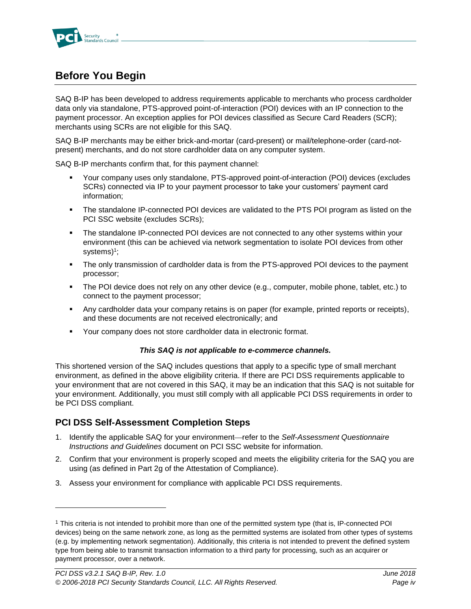

# <span id="page-3-0"></span>**Before You Begin**

SAQ B-IP has been developed to address requirements applicable to merchants who process cardholder data only via standalone, PTS-approved point-of-interaction (POI) devices with an IP connection to the payment processor. An exception applies for POI devices classified as Secure Card Readers (SCR); merchants using SCRs are not eligible for this SAQ.

SAQ B-IP merchants may be either brick-and-mortar (card-present) or mail/telephone-order (card-notpresent) merchants, and do not store cardholder data on any computer system.

SAQ B-IP merchants confirm that, for this payment channel:

- Your company uses only standalone, PTS-approved point-of-interaction (POI) devices (excludes SCRs) connected via IP to your payment processor to take your customers' payment card information;
- **•** The standalone IP-connected POI devices are validated to the PTS POI program as listed on the PCI SSC website (excludes SCRs);
- **•** The standalone IP-connected POI devices are not connected to any other systems within your environment (this can be achieved via network segmentation to isolate POI devices from other systems)<sup>1</sup> ;
- **•** The only transmission of cardholder data is from the PTS-approved POI devices to the payment processor;
- The POI device does not rely on any other device (e.g., computer, mobile phone, tablet, etc.) to connect to the payment processor;
- Any cardholder data your company retains is on paper (for example, printed reports or receipts), and these documents are not received electronically; and
- Your company does not store cardholder data in electronic format.

#### *This SAQ is not applicable to e-commerce channels.*

This shortened version of the SAQ includes questions that apply to a specific type of small merchant environment, as defined in the above eligibility criteria. If there are PCI DSS requirements applicable to your environment that are not covered in this SAQ, it may be an indication that this SAQ is not suitable for your environment. Additionally, you must still comply with all applicable PCI DSS requirements in order to be PCI DSS compliant.

### <span id="page-3-1"></span>**PCI DSS Self-Assessment Completion Steps**

l

- 1. Identify the applicable SAQ for your environment—refer to the *Self-Assessment Questionnaire Instructions and Guidelines* document on PCI SSC website for information.
- 2. Confirm that your environment is properly scoped and meets the eligibility criteria for the SAQ you are using (as defined in Part 2g of the Attestation of Compliance).
- 3. Assess your environment for compliance with applicable PCI DSS requirements.

<sup>1</sup> This criteria is not intended to prohibit more than one of the permitted system type (that is, IP-connected POI devices) being on the same network zone, as long as the permitted systems are isolated from other types of systems (e.g. by implementing network segmentation). Additionally, this criteria is not intended to prevent the defined system type from being able to transmit transaction information to a third party for processing, such as an acquirer or payment processor, over a network.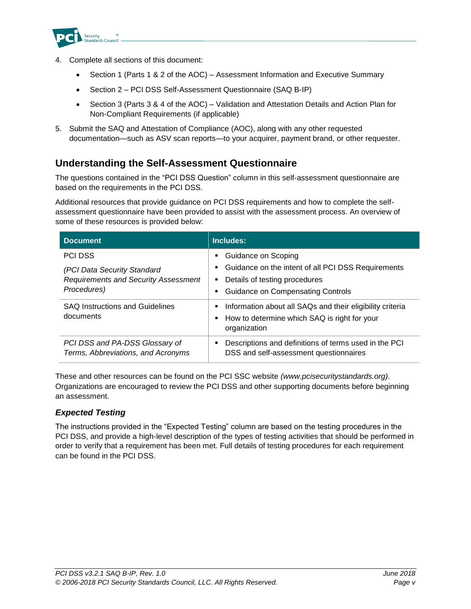

- 4. Complete all sections of this document:
	- Section 1 (Parts 1 & 2 of the AOC) Assessment Information and Executive Summary
	- Section 2 PCI DSS Self-Assessment Questionnaire (SAQ B-IP)
	- Section 3 (Parts 3 & 4 of the AOC) Validation and Attestation Details and Action Plan for Non-Compliant Requirements (if applicable)
- 5. Submit the SAQ and Attestation of Compliance (AOC), along with any other requested documentation—such as ASV scan reports—to your acquirer, payment brand, or other requester.

## <span id="page-4-0"></span>**Understanding the Self-Assessment Questionnaire**

The questions contained in the "PCI DSS Question" column in this self-assessment questionnaire are based on the requirements in the PCI DSS.

Additional resources that provide guidance on PCI DSS requirements and how to complete the selfassessment questionnaire have been provided to assist with the assessment process. An overview of some of these resources is provided below:

| <b>Document</b>                                                      | Includes:                                                                                                                           |
|----------------------------------------------------------------------|-------------------------------------------------------------------------------------------------------------------------------------|
| <b>PCI DSS</b>                                                       | Guidance on Scoping                                                                                                                 |
| (PCI Data Security Standard                                          | Guidance on the intent of all PCI DSS Requirements<br>$\blacksquare$                                                                |
| <b>Requirements and Security Assessment</b>                          | Details of testing procedures<br>п                                                                                                  |
| Procedures)                                                          | <b>Guidance on Compensating Controls</b><br>п                                                                                       |
| <b>SAQ Instructions and Guidelines</b><br>documents                  | Information about all SAQs and their eligibility criteria<br>Е<br>How to determine which SAQ is right for your<br>Е<br>organization |
| PCI DSS and PA-DSS Glossary of<br>Terms, Abbreviations, and Acronyms | Descriptions and definitions of terms used in the PCI<br>Е<br>DSS and self-assessment questionnaires                                |

These and other resources can be found on the PCI SSC website *[\(www.pcisecuritystandards.org\)](http://www.pcisecuritystandards.org/)*. Organizations are encouraged to review the PCI DSS and other supporting documents before beginning an assessment.

### <span id="page-4-1"></span>*Expected Testing*

The instructions provided in the "Expected Testing" column are based on the testing procedures in the PCI DSS, and provide a high-level description of the types of testing activities that should be performed in order to verify that a requirement has been met. Full details of testing procedures for each requirement can be found in the PCI DSS.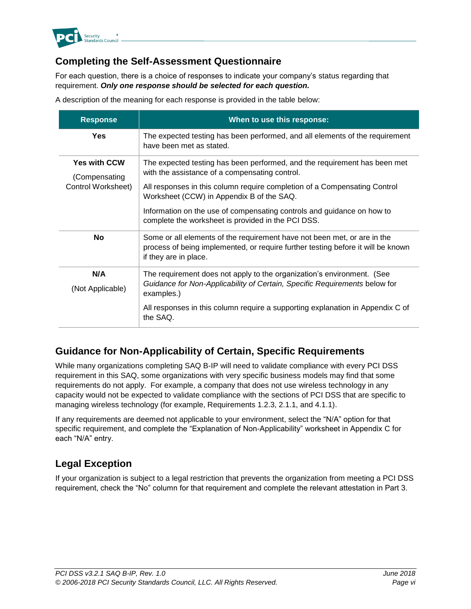

# <span id="page-5-0"></span>**Completing the Self-Assessment Questionnaire**

For each question, there is a choice of responses to indicate your company's status regarding that requirement. *Only one response should be selected for each question.*

A description of the meaning for each response is provided in the table below:

| <b>Response</b>                                            | When to use this response:                                                                                                                                                                               |
|------------------------------------------------------------|----------------------------------------------------------------------------------------------------------------------------------------------------------------------------------------------------------|
| Yes                                                        | The expected testing has been performed, and all elements of the requirement<br>have been met as stated.                                                                                                 |
| <b>Yes with CCW</b><br>(Compensating<br>Control Worksheet) | The expected testing has been performed, and the requirement has been met<br>with the assistance of a compensating control.<br>All responses in this column require completion of a Compensating Control |
|                                                            | Worksheet (CCW) in Appendix B of the SAQ.<br>Information on the use of compensating controls and guidance on how to                                                                                      |
|                                                            | complete the worksheet is provided in the PCI DSS.                                                                                                                                                       |
| <b>No</b>                                                  | Some or all elements of the requirement have not been met, or are in the<br>process of being implemented, or require further testing before it will be known<br>if they are in place.                    |
| N/A                                                        | The requirement does not apply to the organization's environment. (See                                                                                                                                   |
| (Not Applicable)                                           | Guidance for Non-Applicability of Certain, Specific Requirements below for<br>examples.)                                                                                                                 |
|                                                            | All responses in this column require a supporting explanation in Appendix C of<br>the SAQ.                                                                                                               |

## <span id="page-5-1"></span>**Guidance for Non-Applicability of Certain, Specific Requirements**

While many organizations completing SAQ B-IP will need to validate compliance with every PCI DSS requirement in this SAQ, some organizations with very specific business models may find that some requirements do not apply. For example, a company that does not use wireless technology in any capacity would not be expected to validate compliance with the sections of PCI DSS that are specific to managing wireless technology (for example, Requirements 1.2.3, 2.1.1, and 4.1.1).

If any requirements are deemed not applicable to your environment, select the "N/A" option for that specific requirement, and complete the "Explanation of Non-Applicability" worksheet in Appendix C for each "N/A" entry.

# <span id="page-5-2"></span>**Legal Exception**

If your organization is subject to a legal restriction that prevents the organization from meeting a PCI DSS requirement, check the "No" column for that requirement and complete the relevant attestation in Part 3.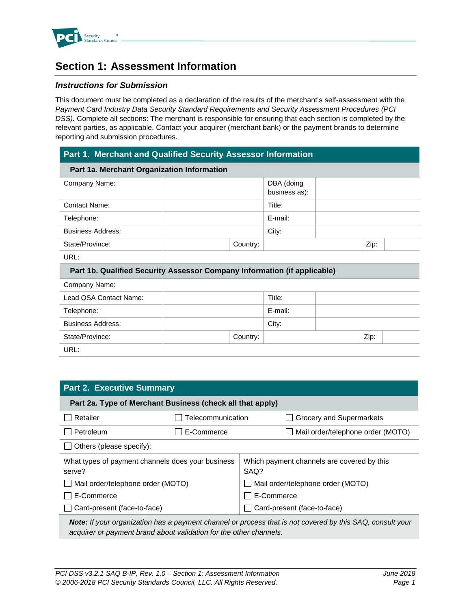

# <span id="page-6-0"></span>**Section 1: Assessment Information**

#### *Instructions for Submission*

This document must be completed as a declaration of the results of the merchant's self-assessment with the *Payment Card Industry Data Security Standard Requirements and Security Assessment Procedures (PCI DSS).* Complete all sections: The merchant is responsible for ensuring that each section is completed by the relevant parties, as applicable. Contact your acquirer (merchant bank) or the payment brands to determine reporting and submission procedures.

#### **Part 1. Merchant and Qualified Security Assessor Information**

| Part 1a. Merchant Organization Information                               |          |               |      |  |
|--------------------------------------------------------------------------|----------|---------------|------|--|
| Company Name:                                                            |          | DBA (doing    |      |  |
|                                                                          |          | business as): |      |  |
| <b>Contact Name:</b>                                                     |          | Title:        |      |  |
| Telephone:                                                               |          | E-mail:       |      |  |
| <b>Business Address:</b>                                                 |          | City:         |      |  |
| State/Province:                                                          | Country: |               | Zip: |  |
| URL:                                                                     |          |               |      |  |
| Part 1b. Qualified Security Assessor Company Information (if applicable) |          |               |      |  |
| Company Name:                                                            |          |               |      |  |
| Lead QSA Contact Name:                                                   |          | Title:        |      |  |
| Telephone:                                                               |          | E-mail:       |      |  |
| <b>Business Address:</b>                                                 |          | City:         |      |  |

| .               |          | - - |      |  |
|-----------------|----------|-----|------|--|
| State/Province: | Country: |     | Zip: |  |
| URL:            |          |     |      |  |
|                 |          |     |      |  |
|                 |          |     |      |  |

| <b>Part 2. Executive Summary</b>                                                                                                                                                |                   |                                                    |                                   |  |
|---------------------------------------------------------------------------------------------------------------------------------------------------------------------------------|-------------------|----------------------------------------------------|-----------------------------------|--|
| Part 2a. Type of Merchant Business (check all that apply)                                                                                                                       |                   |                                                    |                                   |  |
| Retailer                                                                                                                                                                        | Telecommunication |                                                    | Grocery and Supermarkets          |  |
| Petroleum                                                                                                                                                                       | E-Commerce        |                                                    | Mail order/telephone order (MOTO) |  |
| $\Box$ Others (please specify):                                                                                                                                                 |                   |                                                    |                                   |  |
| What types of payment channels does your business<br>serve?                                                                                                                     |                   | Which payment channels are covered by this<br>SAQ? |                                   |  |
| $\Box$ Mail order/telephone order (MOTO)                                                                                                                                        |                   | Mail order/telephone order (MOTO)                  |                                   |  |
| E-Commerce                                                                                                                                                                      |                   | E-Commerce                                         |                                   |  |
| $\Box$ Card-present (face-to-face)                                                                                                                                              |                   | Card-present (face-to-face)                        |                                   |  |
| Note: If your organization has a payment channel or process that is not covered by this SAQ, consult your<br>acquirer or payment brand about validation for the other channels. |                   |                                                    |                                   |  |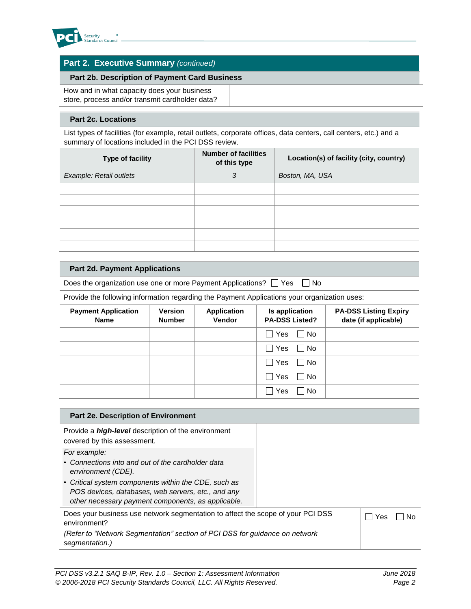

### **Part 2. Executive Summary** *(continued)*

#### **Part 2b. Description of Payment Card Business**

How and in what capacity does your business store, process and/or transmit cardholder data?

#### **Part 2c. Locations**

List types of facilities (for example, retail outlets, corporate offices, data centers, call centers, etc.) and a summary of locations included in the PCI DSS review.

| Type of facility        | <b>Number of facilities</b><br>of this type | Location(s) of facility (city, country) |
|-------------------------|---------------------------------------------|-----------------------------------------|
| Example: Retail outlets | 3                                           | Boston, MA, USA                         |
|                         |                                             |                                         |
|                         |                                             |                                         |
|                         |                                             |                                         |
|                         |                                             |                                         |
|                         |                                             |                                         |
|                         |                                             |                                         |

#### **Part 2d. Payment Applications**

Does the organization use one or more Payment Applications?  $\Box$  Yes  $\Box$  No

Provide the following information regarding the Payment Applications your organization uses:

| <b>Payment Application</b><br><b>Name</b> | <b>Version</b><br><b>Number</b> | <b>Application</b><br>Vendor | Is application<br><b>PA-DSS Listed?</b> | <b>PA-DSS Listing Expiry</b><br>date (if applicable) |
|-------------------------------------------|---------------------------------|------------------------------|-----------------------------------------|------------------------------------------------------|
|                                           |                                 |                              | $\Box$ Yes<br>$\Box$ No                 |                                                      |
|                                           |                                 |                              | $\Box$ Yes<br>I No                      |                                                      |
|                                           |                                 |                              | $\Box$ Yes<br>$\Box$ No                 |                                                      |
|                                           |                                 |                              | $\Box$ Yes<br>$\Box$ No                 |                                                      |
|                                           |                                 |                              | $\Box$<br>Yes<br>$\Box$ No              |                                                      |

| Part 2e. Description of Environment                                                                                                                              |     |
|------------------------------------------------------------------------------------------------------------------------------------------------------------------|-----|
| Provide a <i>high-level</i> description of the environment<br>covered by this assessment.                                                                        |     |
| For example:<br>• Connections into and out of the cardholder data<br>environment (CDE).                                                                          |     |
| • Critical system components within the CDE, such as<br>POS devices, databases, web servers, etc., and any<br>other necessary payment components, as applicable. |     |
| Does your business use network segmentation to affect the scope of your PCI DSS<br>environment?                                                                  | Yes |
| (Refer to "Network Segmentation" section of PCI DSS for guidance on network<br>segmentation.)                                                                    |     |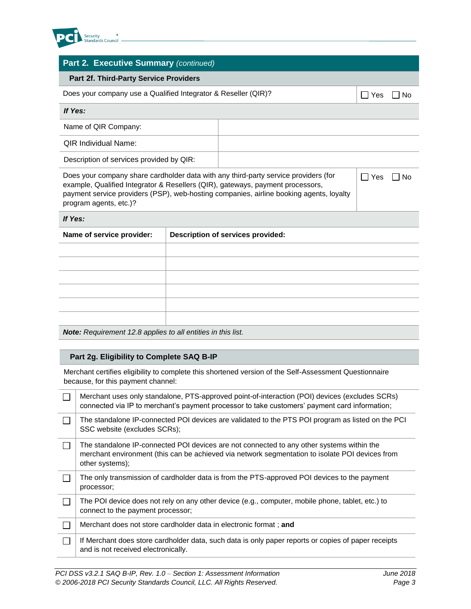

### **Part 2. Executive Summary** *(continued)*

#### **Part 2f. Third-Party Service Providers**

| Does your company use a Qualified Integrator & Reseller (QIR)? |  | Yes | _  No |
|----------------------------------------------------------------|--|-----|-------|
| If Yes:                                                        |  |     |       |
| Name of QIR Company:                                           |  |     |       |
| <b>QIR Individual Name:</b>                                    |  |     |       |
| Description of services provided by QIR:                       |  |     |       |
|                                                                |  |     |       |

Does your company share cardholder data with any third-party service providers (for example, Qualified Integrator & Resellers (QIR), gateways, payment processors, payment service providers (PSP), web-hosting companies, airline booking agents, loyalty program agents, etc.)?

 $\Box$  Yes  $\Box$  No

#### *If Yes:*

| Name of service provider: | <b>Description of services provided:</b> |
|---------------------------|------------------------------------------|
|                           |                                          |
|                           |                                          |
|                           |                                          |
|                           |                                          |
|                           |                                          |
|                           |                                          |
|                           |                                          |

*Note: Requirement 12.8 applies to all entities in this list.*

#### **Part 2g. Eligibility to Complete SAQ B-IP**

Merchant certifies eligibility to complete this shortened version of the Self-Assessment Questionnaire because, for this payment channel:

| Merchant uses only standalone, PTS-approved point-of-interaction (POI) devices (excludes SCRs)<br>connected via IP to merchant's payment processor to take customers' payment card information;                 |
|-----------------------------------------------------------------------------------------------------------------------------------------------------------------------------------------------------------------|
| The standalone IP-connected POI devices are validated to the PTS POI program as listed on the PCI<br>SSC website (excludes SCRs);                                                                               |
| The standalone IP-connected POI devices are not connected to any other systems within the<br>merchant environment (this can be achieved via network segmentation to isolate POI devices from<br>other systems); |
| The only transmission of cardholder data is from the PTS-approved POI devices to the payment<br>processor;                                                                                                      |
| The POI device does not rely on any other device (e.g., computer, mobile phone, tablet, etc.) to<br>connect to the payment processor;                                                                           |
| Merchant does not store cardholder data in electronic format ; and                                                                                                                                              |
| If Merchant does store cardholder data, such data is only paper reports or copies of paper receipts<br>and is not received electronically.                                                                      |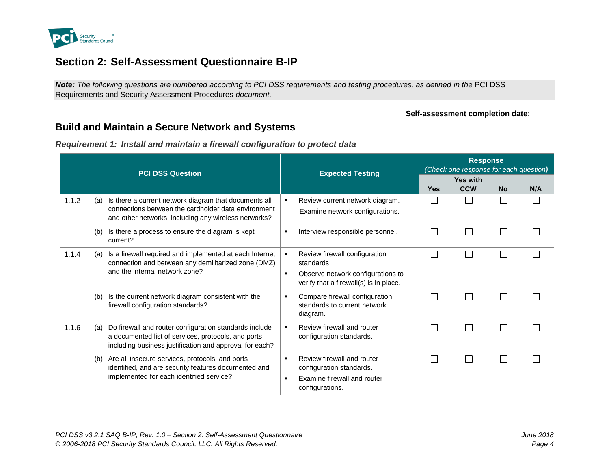

# **Section 2: Self-Assessment Questionnaire B-IP**

*Note: The following questions are numbered according to PCI DSS requirements and testing procedures, as defined in the PCI DSS* Requirements and Security Assessment Procedures *document.* 

#### **Self-assessment completion date:**

# **Build and Maintain a Secure Network and Systems**

*Requirement 1: Install and maintain a firewall configuration to protect data*

<span id="page-9-2"></span><span id="page-9-1"></span><span id="page-9-0"></span>

|       | <b>PCI DSS Question</b>                                                                                                                                                          | <b>Expected Testing</b>                                                                                                                                        | <b>Response</b><br>(Check one response for each question) |                               |           |     |  |
|-------|----------------------------------------------------------------------------------------------------------------------------------------------------------------------------------|----------------------------------------------------------------------------------------------------------------------------------------------------------------|-----------------------------------------------------------|-------------------------------|-----------|-----|--|
|       |                                                                                                                                                                                  |                                                                                                                                                                | <b>Yes</b>                                                | <b>Yes with</b><br><b>CCW</b> | <b>No</b> | N/A |  |
| 1.1.2 | Is there a current network diagram that documents all<br>(a)<br>connections between the cardholder data environment<br>and other networks, including any wireless networks?      | Review current network diagram.<br>$\blacksquare$<br>Examine network configurations.                                                                           |                                                           | П                             |           |     |  |
|       | Is there a process to ensure the diagram is kept<br>(b)<br>current?                                                                                                              | Interview responsible personnel.<br>٠                                                                                                                          | L                                                         | $\Box$                        |           |     |  |
| 1.1.4 | Is a firewall required and implemented at each Internet<br>(a)<br>connection and between any demilitarized zone (DMZ)<br>and the internal network zone?                          | Review firewall configuration<br>$\blacksquare$<br>standards.<br>Observe network configurations to<br>$\blacksquare$<br>verify that a firewall(s) is in place. | I.                                                        | П                             |           |     |  |
|       | Is the current network diagram consistent with the<br>(b)<br>firewall configuration standards?                                                                                   | Compare firewall configuration<br>٠<br>standards to current network<br>diagram.                                                                                | I.                                                        | $\Box$                        |           |     |  |
| 1.1.6 | Do firewall and router configuration standards include<br>(a)<br>a documented list of services, protocols, and ports,<br>including business justification and approval for each? | Review firewall and router<br>$\blacksquare$<br>configuration standards.                                                                                       | П                                                         | П                             |           |     |  |
|       | Are all insecure services, protocols, and ports<br>(b)<br>identified, and are security features documented and<br>implemented for each identified service?                       | Review firewall and router<br>$\blacksquare$<br>configuration standards.<br>Examine firewall and router<br>$\blacksquare$<br>configurations.                   | L                                                         | $\Box$                        |           |     |  |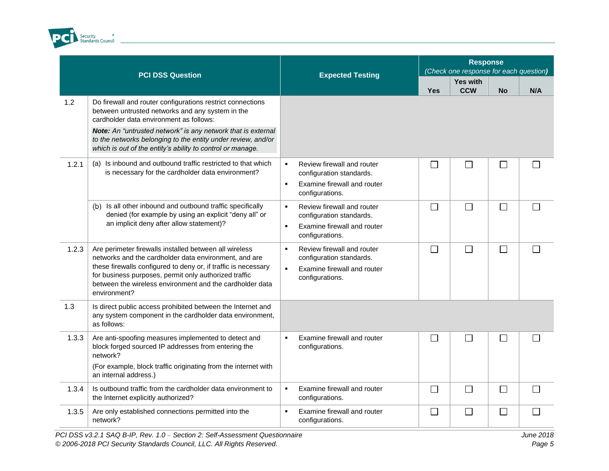

|       | <b>PCI DSS Question</b>                                                                                                                                                                                                                                                                                                                                        | <b>Expected Testing</b>                                                                                                                      |            | <b>Response</b><br>(Check one response for each question) |           |        |
|-------|----------------------------------------------------------------------------------------------------------------------------------------------------------------------------------------------------------------------------------------------------------------------------------------------------------------------------------------------------------------|----------------------------------------------------------------------------------------------------------------------------------------------|------------|-----------------------------------------------------------|-----------|--------|
|       |                                                                                                                                                                                                                                                                                                                                                                |                                                                                                                                              | <b>Yes</b> | <b>Yes with</b><br><b>CCW</b>                             | <b>No</b> | N/A    |
| 1.2   | Do firewall and router configurations restrict connections<br>between untrusted networks and any system in the<br>cardholder data environment as follows:<br><b>Note:</b> An "untrusted network" is any network that is external<br>to the networks belonging to the entity under review, and/or<br>which is out of the entity's ability to control or manage. |                                                                                                                                              |            |                                                           |           |        |
| 1.2.1 | (a) Is inbound and outbound traffic restricted to that which<br>is necessary for the cardholder data environment?                                                                                                                                                                                                                                              | Review firewall and router<br>$\blacksquare$<br>configuration standards.<br>Examine firewall and router<br>$\blacksquare$<br>configurations. |            | П                                                         | $\Box$    |        |
|       | (b) Is all other inbound and outbound traffic specifically<br>denied (for example by using an explicit "deny all" or<br>an implicit deny after allow statement)?                                                                                                                                                                                               | $\blacksquare$<br>Review firewall and router<br>configuration standards.<br>Examine firewall and router<br>$\blacksquare$<br>configurations. | $\Box$     | $\Box$                                                    | $\Box$    | $\Box$ |
| 1.2.3 | Are perimeter firewalls installed between all wireless<br>networks and the cardholder data environment, and are<br>these firewalls configured to deny or, if traffic is necessary<br>for business purposes, permit only authorized traffic<br>between the wireless environment and the cardholder data<br>environment?                                         | $\blacksquare$<br>Review firewall and router<br>configuration standards.<br>Examine firewall and router<br>$\blacksquare$<br>configurations. | $\Box$     | $\Box$                                                    | П         | $\Box$ |
| 1.3   | Is direct public access prohibited between the Internet and<br>any system component in the cardholder data environment,<br>as follows:                                                                                                                                                                                                                         |                                                                                                                                              |            |                                                           |           |        |
| 1.3.3 | Are anti-spoofing measures implemented to detect and<br>block forged sourced IP addresses from entering the<br>network?<br>(For example, block traffic originating from the internet with<br>an internal address.)                                                                                                                                             | Examine firewall and router<br>$\bullet$<br>configurations.                                                                                  | $\Box$     | $\Box$                                                    | $\Box$    | П      |
| 1.3.4 | Is outbound traffic from the cardholder data environment to<br>the Internet explicitly authorized?                                                                                                                                                                                                                                                             | Examine firewall and router<br>$\blacksquare$<br>configurations.                                                                             | $\Box$     | $\Box$                                                    | $\Box$    | $\Box$ |
| 1.3.5 | Are only established connections permitted into the<br>network?                                                                                                                                                                                                                                                                                                | Examine firewall and router<br>$\blacksquare$<br>configurations.                                                                             | П          | П                                                         | $\perp$   |        |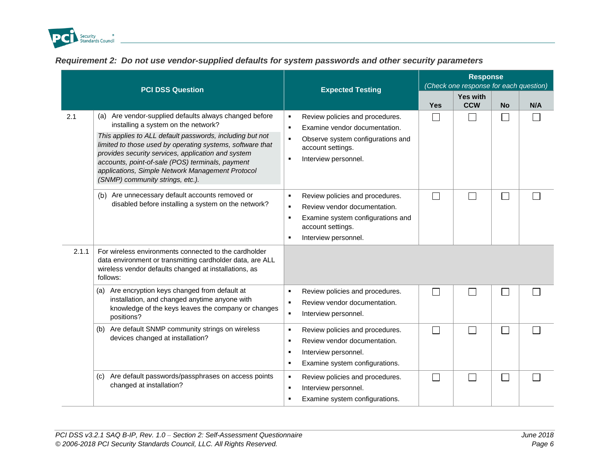

| Requirement 2: Do not use vendor-supplied defaults for system passwords and other security parameters |  |  |  |  |  |  |
|-------------------------------------------------------------------------------------------------------|--|--|--|--|--|--|
|                                                                                                       |  |  |  |  |  |  |

<span id="page-11-0"></span>

|       | <b>PCI DSS Question</b>                                                                                                                                                                                                                                                                                                                                                                                                  |                                                                                                                                                                                                  | <b>Response</b><br>(Check one response for each question) |                               |                             |     |  |
|-------|--------------------------------------------------------------------------------------------------------------------------------------------------------------------------------------------------------------------------------------------------------------------------------------------------------------------------------------------------------------------------------------------------------------------------|--------------------------------------------------------------------------------------------------------------------------------------------------------------------------------------------------|-----------------------------------------------------------|-------------------------------|-----------------------------|-----|--|
|       |                                                                                                                                                                                                                                                                                                                                                                                                                          | <b>Expected Testing</b>                                                                                                                                                                          | <b>Yes</b>                                                | <b>Yes with</b><br><b>CCW</b> | <b>No</b>                   | N/A |  |
| 2.1   | (a) Are vendor-supplied defaults always changed before<br>installing a system on the network?<br>This applies to ALL default passwords, including but not<br>limited to those used by operating systems, software that<br>provides security services, application and system<br>accounts, point-of-sale (POS) terminals, payment<br>applications, Simple Network Management Protocol<br>(SNMP) community strings, etc.). | Review policies and procedures.<br>٠<br>Examine vendor documentation.<br>$\blacksquare$<br>Observe system configurations and<br>٠<br>account settings.<br>Interview personnel.<br>$\blacksquare$ | $\mathsf{L}$                                              | $\blacksquare$                | $\vert \ \ \vert$           |     |  |
| 2.1.1 | Are unnecessary default accounts removed or<br>(b)<br>disabled before installing a system on the network?                                                                                                                                                                                                                                                                                                                | Review policies and procedures.<br>$\blacksquare$<br>Review vendor documentation.<br>$\blacksquare$<br>Examine system configurations and<br>٠<br>account settings.<br>Interview personnel.<br>٠  | $\Box$                                                    | $\mathsf{L}$                  | $\mathbb{R}^3$              |     |  |
|       | For wireless environments connected to the cardholder<br>data environment or transmitting cardholder data, are ALL<br>wireless vendor defaults changed at installations, as<br>follows:                                                                                                                                                                                                                                  |                                                                                                                                                                                                  |                                                           |                               |                             |     |  |
|       | (a) Are encryption keys changed from default at<br>installation, and changed anytime anyone with<br>knowledge of the keys leaves the company or changes<br>positions?                                                                                                                                                                                                                                                    | Review policies and procedures.<br>$\blacksquare$<br>Review vendor documentation.<br>$\blacksquare$<br>Interview personnel.<br>٠                                                                 |                                                           |                               |                             |     |  |
|       | Are default SNMP community strings on wireless<br>(b)<br>devices changed at installation?                                                                                                                                                                                                                                                                                                                                | Review policies and procedures.<br>$\blacksquare$<br>Review vendor documentation.<br>٠<br>Interview personnel.<br>٠<br>Examine system configurations.<br>٠                                       |                                                           |                               | $\mathcal{L}$               |     |  |
|       | (c) Are default passwords/passphrases on access points<br>changed at installation?                                                                                                                                                                                                                                                                                                                                       | Review policies and procedures.<br>$\blacksquare$<br>Interview personnel.<br>$\blacksquare$<br>Examine system configurations.<br>п                                                               |                                                           |                               | $\mathcal{L}_{\mathcal{A}}$ |     |  |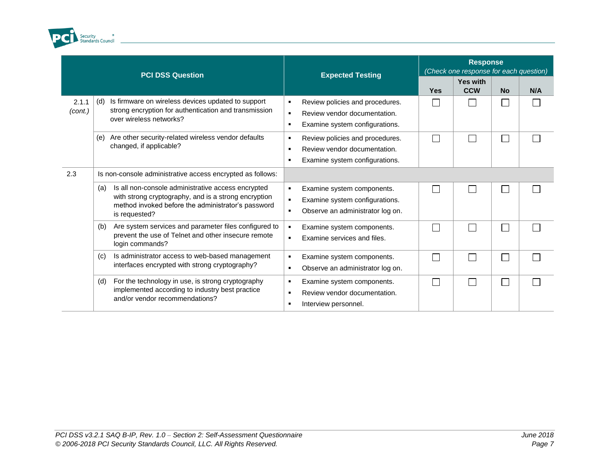

|                  | <b>PCI DSS Question</b>                                                                                                                                                                  | <b>Expected Testing</b>                                                                                                                    | <b>Response</b><br>(Check one response for each question) |                               |                |     |
|------------------|------------------------------------------------------------------------------------------------------------------------------------------------------------------------------------------|--------------------------------------------------------------------------------------------------------------------------------------------|-----------------------------------------------------------|-------------------------------|----------------|-----|
|                  |                                                                                                                                                                                          |                                                                                                                                            | <b>Yes</b>                                                | <b>Yes with</b><br><b>CCW</b> | <b>No</b>      | N/A |
| 2.1.1<br>(cont.) | Is firmware on wireless devices updated to support<br>(d)<br>strong encryption for authentication and transmission<br>over wireless networks?                                            | Review policies and procedures.<br>٠<br>Review vendor documentation.<br>$\blacksquare$<br>Examine system configurations.<br>٠              |                                                           |                               |                |     |
|                  | Are other security-related wireless vendor defaults<br>(e)<br>changed, if applicable?                                                                                                    | Review policies and procedures.<br>٠<br>Review vendor documentation.<br>$\blacksquare$<br>Examine system configurations.<br>$\blacksquare$ | I.                                                        | П                             | $\mathbb{R}^n$ |     |
| 2.3              | Is non-console administrative access encrypted as follows:                                                                                                                               |                                                                                                                                            |                                                           |                               |                |     |
|                  | Is all non-console administrative access encrypted<br>(a)<br>with strong cryptography, and is a strong encryption<br>method invoked before the administrator's password<br>is requested? | Examine system components.<br>٠<br>Examine system configurations.<br>٠<br>Observe an administrator log on.<br>٠                            |                                                           |                               |                |     |
|                  | Are system services and parameter files configured to<br>(b)<br>prevent the use of Telnet and other insecure remote<br>login commands?                                                   | Examine system components.<br>$\blacksquare$<br>Examine services and files.<br>$\blacksquare$                                              |                                                           | П                             |                |     |
|                  | Is administrator access to web-based management<br>(c)<br>interfaces encrypted with strong cryptography?                                                                                 | Examine system components.<br>٠<br>Observe an administrator log on.<br>٠                                                                   |                                                           | $\Box$                        |                |     |
|                  | For the technology in use, is strong cryptography<br>(d)<br>implemented according to industry best practice<br>and/or vendor recommendations?                                            | Examine system components.<br>٠<br>Review vendor documentation.<br>п<br>Interview personnel.                                               |                                                           | $\Box$                        | a i            |     |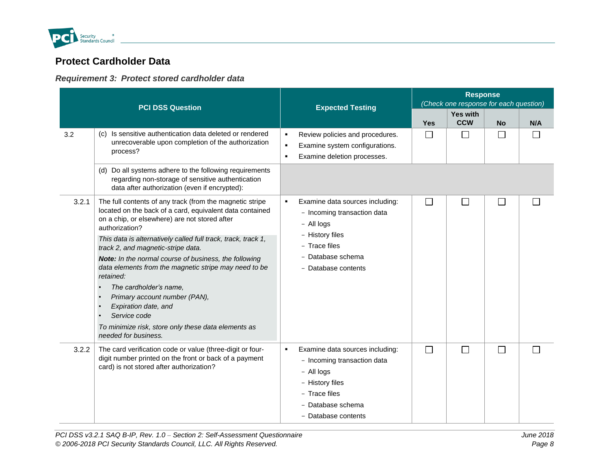

# **Protect Cardholder Data**

### *Requirement 3: Protect stored cardholder data*

<span id="page-13-1"></span><span id="page-13-0"></span>

| <b>PCI DSS Question</b> |                                                                                                                                                                                         |                                                                                                                                                                                | <b>Response</b><br>(Check one response for each question) |                               |                |     |  |
|-------------------------|-----------------------------------------------------------------------------------------------------------------------------------------------------------------------------------------|--------------------------------------------------------------------------------------------------------------------------------------------------------------------------------|-----------------------------------------------------------|-------------------------------|----------------|-----|--|
|                         |                                                                                                                                                                                         | <b>Expected Testing</b>                                                                                                                                                        | <b>Yes</b>                                                | <b>Yes with</b><br><b>CCW</b> | <b>No</b>      | N/A |  |
| 3.2                     | (c) Is sensitive authentication data deleted or rendered<br>unrecoverable upon completion of the authorization<br>process?                                                              | Review policies and procedures.<br>$\blacksquare$<br>Examine system configurations.<br>$\blacksquare$<br>Examine deletion processes.<br>$\blacksquare$                         | $\Box$                                                    | $\Box$                        | $\Box$         |     |  |
|                         | (d) Do all systems adhere to the following requirements<br>regarding non-storage of sensitive authentication<br>data after authorization (even if encrypted):                           |                                                                                                                                                                                |                                                           |                               |                |     |  |
| 3.2.1                   | The full contents of any track (from the magnetic stripe<br>located on the back of a card, equivalent data contained<br>on a chip, or elsewhere) are not stored after<br>authorization? | Examine data sources including:<br>$\blacksquare$<br>- Incoming transaction data<br>- All logs                                                                                 | $\Box$                                                    | $\mathbb{R}^n$                | $\mathbb{R}^n$ |     |  |
|                         | This data is alternatively called full track, track, track 1,<br>track 2, and magnetic-stripe data.                                                                                     | - History files<br>- Trace files                                                                                                                                               |                                                           |                               |                |     |  |
|                         | Note: In the normal course of business, the following<br>data elements from the magnetic stripe may need to be<br>retained:                                                             | - Database schema<br>- Database contents                                                                                                                                       |                                                           |                               |                |     |  |
|                         | The cardholder's name,<br>Primary account number (PAN),<br>Expiration date, and<br>Service code                                                                                         |                                                                                                                                                                                |                                                           |                               |                |     |  |
|                         | To minimize risk, store only these data elements as<br>needed for business.                                                                                                             |                                                                                                                                                                                |                                                           |                               |                |     |  |
| 3.2.2                   | The card verification code or value (three-digit or four-<br>digit number printed on the front or back of a payment<br>card) is not stored after authorization?                         | Examine data sources including:<br>$\blacksquare$<br>- Incoming transaction data<br>- All logs<br>- History files<br>- Trace files<br>- Database schema<br>- Database contents | $\overline{\phantom{a}}$                                  | $\Box$                        | $\Box$         |     |  |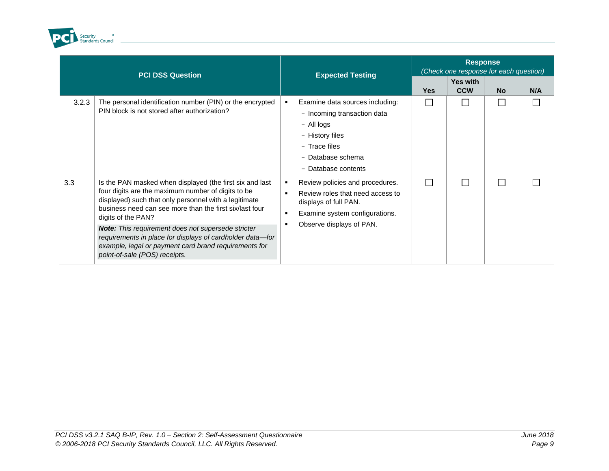

|       | <b>PCI DSS Question</b>                                                                                                                                                                                                                                                                                                                                                                                                                                               | <b>Expected Testing</b>                                                                                                                                                                             | <b>Response</b><br>(Check one response for each question) |                        |           |     |  |
|-------|-----------------------------------------------------------------------------------------------------------------------------------------------------------------------------------------------------------------------------------------------------------------------------------------------------------------------------------------------------------------------------------------------------------------------------------------------------------------------|-----------------------------------------------------------------------------------------------------------------------------------------------------------------------------------------------------|-----------------------------------------------------------|------------------------|-----------|-----|--|
|       |                                                                                                                                                                                                                                                                                                                                                                                                                                                                       |                                                                                                                                                                                                     | <b>Yes</b>                                                | Yes with<br><b>CCW</b> | <b>No</b> | N/A |  |
| 3.2.3 | The personal identification number (PIN) or the encrypted<br>PIN block is not stored after authorization?                                                                                                                                                                                                                                                                                                                                                             | Examine data sources including:<br>٠<br>- Incoming transaction data<br>- All logs<br>- History files<br>- Trace files<br>- Database schema<br>- Database contents                                   | $\Box$                                                    |                        |           |     |  |
| 3.3   | Is the PAN masked when displayed (the first six and last<br>four digits are the maximum number of digits to be<br>displayed) such that only personnel with a legitimate<br>business need can see more than the first six/last four<br>digits of the PAN?<br>Note: This requirement does not supersede stricter<br>requirements in place for displays of cardholder data-for<br>example, legal or payment card brand requirements for<br>point-of-sale (POS) receipts. | Review policies and procedures.<br>٠<br>Review roles that need access to<br>$\blacksquare$<br>displays of full PAN.<br>Examine system configurations.<br>$\blacksquare$<br>Observe displays of PAN. | $\Box$                                                    |                        |           |     |  |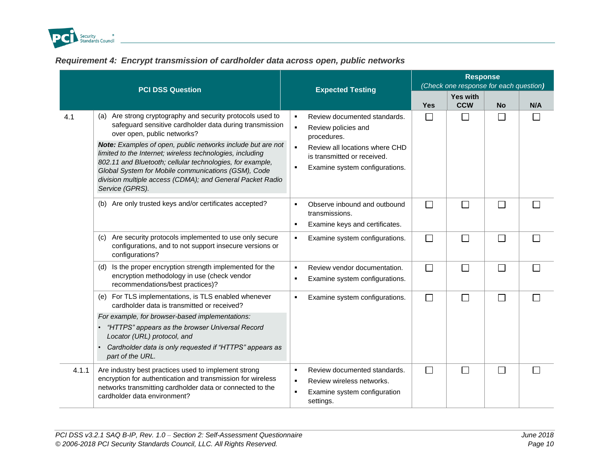

### *Requirement 4: Encrypt transmission of cardholder data across open, public networks*

<span id="page-15-0"></span>

|       | <b>PCI DSS Question</b>                                                                                                                                                                                                                                                                                                                                                                                                                                                              |                                                    | <b>Expected Testing</b>                                                                                                                                               | <b>Response</b><br>(Check one response for each question) |                               |           |     |  |
|-------|--------------------------------------------------------------------------------------------------------------------------------------------------------------------------------------------------------------------------------------------------------------------------------------------------------------------------------------------------------------------------------------------------------------------------------------------------------------------------------------|----------------------------------------------------|-----------------------------------------------------------------------------------------------------------------------------------------------------------------------|-----------------------------------------------------------|-------------------------------|-----------|-----|--|
|       |                                                                                                                                                                                                                                                                                                                                                                                                                                                                                      |                                                    |                                                                                                                                                                       | <b>Yes</b>                                                | <b>Yes with</b><br><b>CCW</b> | <b>No</b> | N/A |  |
| 4.1   | (a) Are strong cryptography and security protocols used to<br>safeguard sensitive cardholder data during transmission<br>over open, public networks?<br>Note: Examples of open, public networks include but are not<br>limited to the Internet; wireless technologies, including<br>802.11 and Bluetooth; cellular technologies, for example,<br>Global System for Mobile communications (GSM), Code<br>division multiple access (CDMA); and General Packet Radio<br>Service (GPRS). | $\blacksquare$<br>$\blacksquare$<br>$\blacksquare$ | Review documented standards.<br>Review policies and<br>procedures.<br>Review all locations where CHD<br>is transmitted or received.<br>Examine system configurations. | $\Box$                                                    | $\mathsf{L}$                  | ∐         |     |  |
|       | (b) Are only trusted keys and/or certificates accepted?                                                                                                                                                                                                                                                                                                                                                                                                                              | $\blacksquare$<br>$\blacksquare$                   | Observe inbound and outbound<br>transmissions.<br>Examine keys and certificates.                                                                                      | $\Box$                                                    |                               | $\Box$    |     |  |
|       | Are security protocols implemented to use only secure<br>(C)<br>configurations, and to not support insecure versions or<br>configurations?                                                                                                                                                                                                                                                                                                                                           |                                                    | Examine system configurations.                                                                                                                                        | $\Box$                                                    |                               | $\Box$    |     |  |
|       | (d) Is the proper encryption strength implemented for the<br>encryption methodology in use (check vendor<br>recommendations/best practices)?                                                                                                                                                                                                                                                                                                                                         | $\blacksquare$<br>л                                | Review vendor documentation.<br>Examine system configurations.                                                                                                        | $\Box$                                                    | $\Box$                        | $\Box$    |     |  |
|       | (e) For TLS implementations, is TLS enabled whenever<br>cardholder data is transmitted or received?<br>For example, for browser-based implementations:                                                                                                                                                                                                                                                                                                                               |                                                    | Examine system configurations.                                                                                                                                        | $\Box$                                                    | П                             | $\Box$    |     |  |
|       | "HTTPS" appears as the browser Universal Record<br>Locator (URL) protocol, and<br>Cardholder data is only requested if "HTTPS" appears as<br>part of the URL.                                                                                                                                                                                                                                                                                                                        |                                                    |                                                                                                                                                                       |                                                           |                               |           |     |  |
| 4.1.1 | Are industry best practices used to implement strong<br>encryption for authentication and transmission for wireless<br>networks transmitting cardholder data or connected to the<br>cardholder data environment?                                                                                                                                                                                                                                                                     | $\blacksquare$<br>$\blacksquare$                   | Review documented standards.<br>Review wireless networks.<br>Examine system configuration<br>settings.                                                                | $\Box$                                                    | $\Box$                        | $\Box$    |     |  |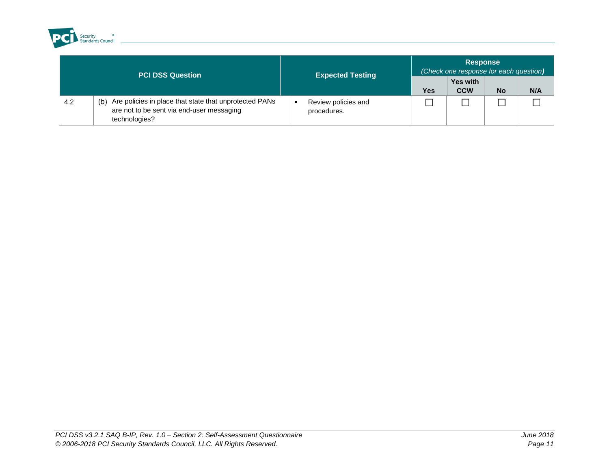

| PCI DSS Question |                                                                                                                             | <b>Expected Testing</b>            | <b>Response</b><br>(Check one response for each question) |                               |           |     |  |
|------------------|-----------------------------------------------------------------------------------------------------------------------------|------------------------------------|-----------------------------------------------------------|-------------------------------|-----------|-----|--|
|                  |                                                                                                                             |                                    | <b>Yes</b>                                                | <b>Yes with</b><br><b>CCW</b> | <b>No</b> | N/A |  |
| 4.2              | Are policies in place that state that unprotected PANs<br>(b)<br>are not to be sent via end-user messaging<br>technologies? | Review policies and<br>procedures. |                                                           |                               |           |     |  |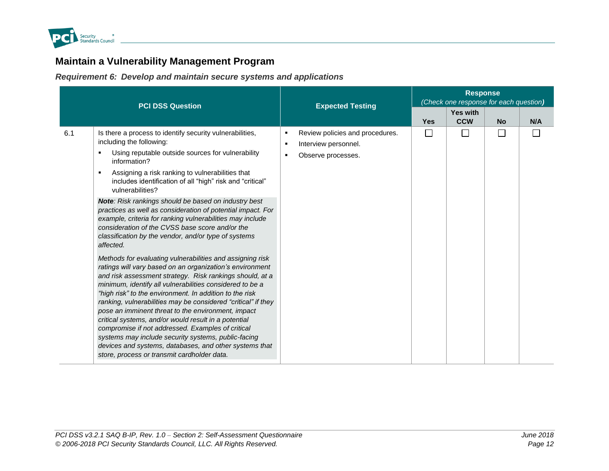

# **Maintain a Vulnerability Management Program**

*Requirement 6: Develop and maintain secure systems and applications*

<span id="page-17-1"></span><span id="page-17-0"></span>

|     | <b>PCI DSS Question</b>                                                                                                                                                                                                                                                                                                                                                                                                                                                                                                                                                                                                                                                                                                                                                                                                                                                                                                                                                                                                                                                                                                                                                                                                                                                     | <b>Expected Testing</b>                                                                                                | <b>Response</b><br>(Check one response for each question) |                          |           |     |  |
|-----|-----------------------------------------------------------------------------------------------------------------------------------------------------------------------------------------------------------------------------------------------------------------------------------------------------------------------------------------------------------------------------------------------------------------------------------------------------------------------------------------------------------------------------------------------------------------------------------------------------------------------------------------------------------------------------------------------------------------------------------------------------------------------------------------------------------------------------------------------------------------------------------------------------------------------------------------------------------------------------------------------------------------------------------------------------------------------------------------------------------------------------------------------------------------------------------------------------------------------------------------------------------------------------|------------------------------------------------------------------------------------------------------------------------|-----------------------------------------------------------|--------------------------|-----------|-----|--|
|     |                                                                                                                                                                                                                                                                                                                                                                                                                                                                                                                                                                                                                                                                                                                                                                                                                                                                                                                                                                                                                                                                                                                                                                                                                                                                             |                                                                                                                        | <b>Yes</b>                                                | Yes with<br><b>CCW</b>   | <b>No</b> | N/A |  |
| 6.1 | Is there a process to identify security vulnerabilities,<br>including the following:<br>Using reputable outside sources for vulnerability<br>information?<br>Assigning a risk ranking to vulnerabilities that<br>includes identification of all "high" risk and "critical"<br>vulnerabilities?<br>Note: Risk rankings should be based on industry best<br>practices as well as consideration of potential impact. For<br>example, criteria for ranking vulnerabilities may include<br>consideration of the CVSS base score and/or the<br>classification by the vendor, and/or type of systems<br>affected.<br>Methods for evaluating vulnerabilities and assigning risk<br>ratings will vary based on an organization's environment<br>and risk assessment strategy. Risk rankings should, at a<br>minimum, identify all vulnerabilities considered to be a<br>"high risk" to the environment. In addition to the risk<br>ranking, vulnerabilities may be considered "critical" if they<br>pose an imminent threat to the environment, impact<br>critical systems, and/or would result in a potential<br>compromise if not addressed. Examples of critical<br>systems may include security systems, public-facing<br>devices and systems, databases, and other systems that | Review policies and procedures.<br>٠<br>Interview personnel.<br>$\blacksquare$<br>Observe processes.<br>$\blacksquare$ | $\mathbf{L}$                                              | $\overline{\phantom{0}}$ | $\Box$    |     |  |
|     | store, process or transmit cardholder data.                                                                                                                                                                                                                                                                                                                                                                                                                                                                                                                                                                                                                                                                                                                                                                                                                                                                                                                                                                                                                                                                                                                                                                                                                                 |                                                                                                                        |                                                           |                          |           |     |  |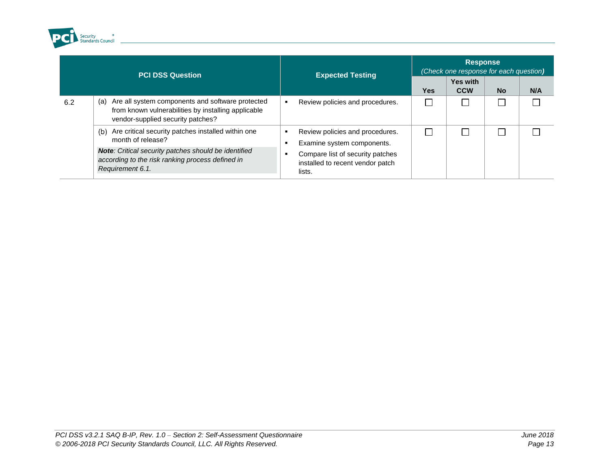

| <b>PCI DSS Question</b> |                                                                                                                                                                                                                | <b>Expected Testing</b>                                                                                                                         | <b>Response</b><br>(Check one response for each question) |                               |           |     |  |
|-------------------------|----------------------------------------------------------------------------------------------------------------------------------------------------------------------------------------------------------------|-------------------------------------------------------------------------------------------------------------------------------------------------|-----------------------------------------------------------|-------------------------------|-----------|-----|--|
|                         |                                                                                                                                                                                                                |                                                                                                                                                 | Yes                                                       | <b>Yes with</b><br><b>CCW</b> | <b>No</b> | N/A |  |
| 6.2                     | Are all system components and software protected<br>(a)<br>from known vulnerabilities by installing applicable<br>vendor-supplied security patches?                                                            | Review policies and procedures.<br>٠                                                                                                            |                                                           |                               |           |     |  |
|                         | Are critical security patches installed within one<br>(b)<br>month of release?<br>Note: Critical security patches should be identified<br>according to the risk ranking process defined in<br>Requirement 6.1. | Review policies and procedures.<br>Examine system components.<br>Compare list of security patches<br>installed to recent vendor patch<br>lists. |                                                           |                               |           |     |  |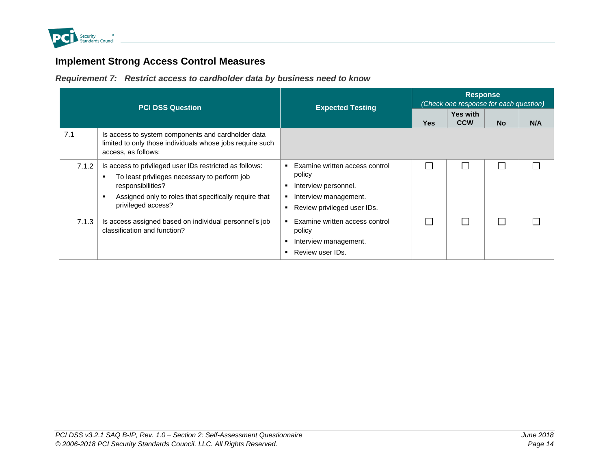

# **Implement Strong Access Control Measures**

*Requirement 7: Restrict access to cardholder data by business need to know*

<span id="page-19-1"></span><span id="page-19-0"></span>

| <b>PCI DSS Question</b> |                                                                                                                                                                                                             | <b>Expected Testing</b>                                                                                                  | <b>Response</b><br>(Check one response for each question) |                               |           |     |  |
|-------------------------|-------------------------------------------------------------------------------------------------------------------------------------------------------------------------------------------------------------|--------------------------------------------------------------------------------------------------------------------------|-----------------------------------------------------------|-------------------------------|-----------|-----|--|
|                         |                                                                                                                                                                                                             |                                                                                                                          | <b>Yes</b>                                                | <b>Yes with</b><br><b>CCW</b> | <b>No</b> | N/A |  |
| 7.1                     | Is access to system components and cardholder data<br>limited to only those individuals whose jobs require such<br>access, as follows:                                                                      |                                                                                                                          |                                                           |                               |           |     |  |
| 7.1.2                   | Is access to privileged user IDs restricted as follows:<br>To least privileges necessary to perform job<br>responsibilities?<br>Assigned only to roles that specifically require that<br>privileged access? | Examine written access control<br>policy<br>Interview personnel.<br>Interview management.<br>Review privileged user IDs. |                                                           |                               |           |     |  |
| 7.1.3                   | Is access assigned based on individual personnel's job<br>classification and function?                                                                                                                      | Examine written access control<br>$\blacksquare$<br>policy<br>Interview management.<br>Review user IDs.                  |                                                           |                               |           |     |  |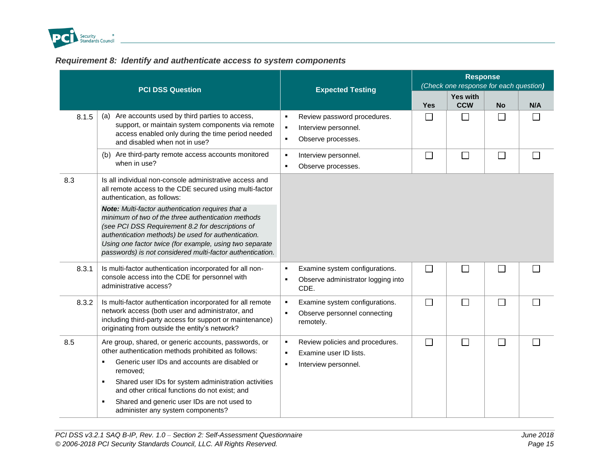

### *Requirement 8: Identify and authenticate access to system components*

<span id="page-20-0"></span>

|       | <b>PCI DSS Question</b>                                                                                                                                                                                                                                                                                                                                                                 | <b>Expected Testing</b>                                                                                                         | <b>Response</b><br>(Check one response for each question) |                               |           |              |  |
|-------|-----------------------------------------------------------------------------------------------------------------------------------------------------------------------------------------------------------------------------------------------------------------------------------------------------------------------------------------------------------------------------------------|---------------------------------------------------------------------------------------------------------------------------------|-----------------------------------------------------------|-------------------------------|-----------|--------------|--|
|       |                                                                                                                                                                                                                                                                                                                                                                                         |                                                                                                                                 | <b>Yes</b>                                                | <b>Yes with</b><br><b>CCW</b> | <b>No</b> | N/A          |  |
| 8.1.5 | Are accounts used by third parties to access,<br>(a)<br>support, or maintain system components via remote<br>access enabled only during the time period needed<br>and disabled when not in use?                                                                                                                                                                                         | Review password procedures.<br>$\blacksquare$<br>$\blacksquare$<br>Interview personnel.<br>$\blacksquare$<br>Observe processes. | $\Box$                                                    | $\mathsf{L}$                  | $\perp$   | $\mathsf{L}$ |  |
|       | Are third-party remote access accounts monitored<br>(b)<br>when in use?                                                                                                                                                                                                                                                                                                                 | Interview personnel.<br>$\blacksquare$<br>Observe processes.<br>$\blacksquare$                                                  | $\Box$                                                    | $\Box$                        | $\Box$    | $\Box$       |  |
| 8.3   | Is all individual non-console administrative access and<br>all remote access to the CDE secured using multi-factor<br>authentication, as follows:                                                                                                                                                                                                                                       |                                                                                                                                 |                                                           |                               |           |              |  |
|       | Note: Multi-factor authentication requires that a<br>minimum of two of the three authentication methods<br>(see PCI DSS Requirement 8.2 for descriptions of<br>authentication methods) be used for authentication.<br>Using one factor twice (for example, using two separate<br>passwords) is not considered multi-factor authentication.                                              |                                                                                                                                 |                                                           |                               |           |              |  |
| 8.3.1 | Is multi-factor authentication incorporated for all non-<br>console access into the CDE for personnel with<br>administrative access?                                                                                                                                                                                                                                                    | Examine system configurations.<br>$\blacksquare$<br>Observe administrator logging into<br>٠<br>CDE.                             | $\Box$                                                    | П                             | $\Box$    | $\Box$       |  |
| 8.3.2 | Is multi-factor authentication incorporated for all remote<br>network access (both user and administrator, and<br>including third-party access for support or maintenance)<br>originating from outside the entity's network?                                                                                                                                                            | Examine system configurations.<br>٠<br>Observe personnel connecting<br>$\blacksquare$<br>remotely.                              | $\Box$                                                    | $\Box$                        | $\Box$    | $\Box$       |  |
| 8.5   | Are group, shared, or generic accounts, passwords, or<br>other authentication methods prohibited as follows:<br>Generic user IDs and accounts are disabled or<br>٠.<br>removed;<br>Shared user IDs for system administration activities<br>٠<br>and other critical functions do not exist; and<br>Shared and generic user IDs are not used to<br>٠<br>administer any system components? | Review policies and procedures.<br>$\blacksquare$<br>Examine user ID lists.<br>$\blacksquare$<br>Interview personnel.<br>٠      | $\Box$                                                    | $\Box$                        | $\Box$    | $\Box$       |  |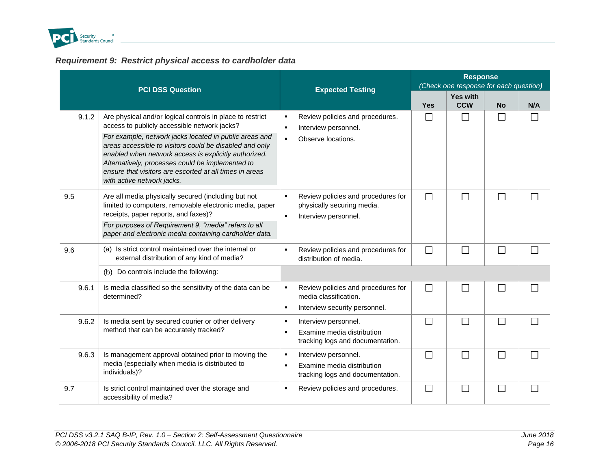

### *Requirement 9: Restrict physical access to cardholder data*

<span id="page-21-0"></span>

|       | <b>PCI DSS Question</b>                                                                                                                                                                                                                                                                                                                                                                                                              | <b>Expected Testing</b>                                                                                                | <b>Response</b><br>(Check one response for each question) |                        |              |     |  |
|-------|--------------------------------------------------------------------------------------------------------------------------------------------------------------------------------------------------------------------------------------------------------------------------------------------------------------------------------------------------------------------------------------------------------------------------------------|------------------------------------------------------------------------------------------------------------------------|-----------------------------------------------------------|------------------------|--------------|-----|--|
|       |                                                                                                                                                                                                                                                                                                                                                                                                                                      |                                                                                                                        | Yes                                                       | Yes with<br><b>CCW</b> | <b>No</b>    | N/A |  |
| 9.1.2 | Are physical and/or logical controls in place to restrict<br>access to publicly accessible network jacks?<br>For example, network jacks located in public areas and<br>areas accessible to visitors could be disabled and only<br>enabled when network access is explicitly authorized.<br>Alternatively, processes could be implemented to<br>ensure that visitors are escorted at all times in areas<br>with active network jacks. | Review policies and procedures.<br>$\blacksquare$<br>Interview personnel.<br>٠<br>Observe locations.<br>$\blacksquare$ | $\perp$                                                   | $\mathbf{I}$           | ΙI           |     |  |
| 9.5   | Are all media physically secured (including but not<br>limited to computers, removable electronic media, paper<br>receipts, paper reports, and faxes)?<br>For purposes of Requirement 9, "media" refers to all<br>paper and electronic media containing cardholder data.                                                                                                                                                             | Review policies and procedures for<br>٠<br>physically securing media.<br>Interview personnel.<br>٠                     | $\Box$                                                    |                        | L            |     |  |
| 9.6   | (a) Is strict control maintained over the internal or<br>external distribution of any kind of media?                                                                                                                                                                                                                                                                                                                                 | Review policies and procedures for<br>$\blacksquare$<br>distribution of media.                                         | $\Box$                                                    | Г                      | $\Box$       |     |  |
|       | (b) Do controls include the following:                                                                                                                                                                                                                                                                                                                                                                                               |                                                                                                                        |                                                           |                        |              |     |  |
| 9.6.1 | Is media classified so the sensitivity of the data can be<br>determined?                                                                                                                                                                                                                                                                                                                                                             | Review policies and procedures for<br>٠<br>media classification.<br>Interview security personnel.<br>$\blacksquare$    | $\Box$                                                    | $\mathbf{I}$           | $\mathbf{L}$ |     |  |
| 9.6.2 | Is media sent by secured courier or other delivery<br>method that can be accurately tracked?                                                                                                                                                                                                                                                                                                                                         | Interview personnel.<br>п<br>Examine media distribution<br>٠<br>tracking logs and documentation.                       | $\Box$                                                    |                        |              |     |  |
| 9.6.3 | Is management approval obtained prior to moving the<br>media (especially when media is distributed to<br>individuals)?                                                                                                                                                                                                                                                                                                               | Interview personnel.<br>×<br>Examine media distribution<br>$\blacksquare$<br>tracking logs and documentation.          | $\Box$                                                    |                        |              |     |  |
| 9.7   | Is strict control maintained over the storage and<br>accessibility of media?                                                                                                                                                                                                                                                                                                                                                         | Review policies and procedures.<br>٠                                                                                   | $\mathbb{R}^n$                                            |                        |              |     |  |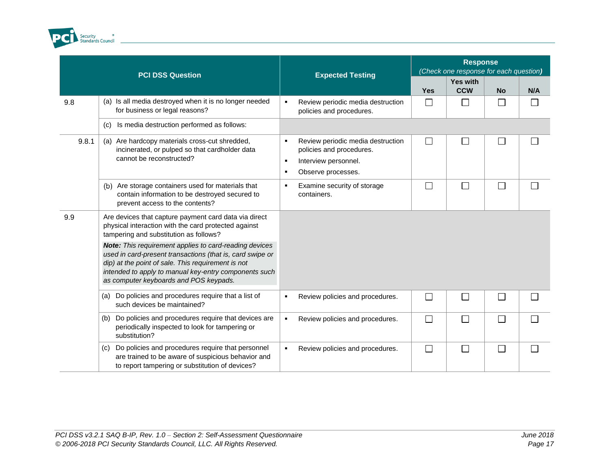

|       | <b>PCI DSS Question</b>                                                                                                                                                                                                                                                      | <b>Expected Testing</b>                                                                                                                                           | <b>Response</b><br>(Check one response for each question) |                               |           |                          |  |
|-------|------------------------------------------------------------------------------------------------------------------------------------------------------------------------------------------------------------------------------------------------------------------------------|-------------------------------------------------------------------------------------------------------------------------------------------------------------------|-----------------------------------------------------------|-------------------------------|-----------|--------------------------|--|
|       |                                                                                                                                                                                                                                                                              |                                                                                                                                                                   | <b>Yes</b>                                                | <b>Yes with</b><br><b>CCW</b> | <b>No</b> | N/A                      |  |
| 9.8   | (a) Is all media destroyed when it is no longer needed<br>for business or legal reasons?                                                                                                                                                                                     | Review periodic media destruction<br>$\blacksquare$<br>policies and procedures.                                                                                   | $\Box$                                                    | $\mathbb{R}^n$                | $\Box$    |                          |  |
|       | Is media destruction performed as follows:<br>(c)                                                                                                                                                                                                                            |                                                                                                                                                                   |                                                           |                               |           |                          |  |
| 9.8.1 | (a) Are hardcopy materials cross-cut shredded,<br>incinerated, or pulped so that cardholder data<br>cannot be reconstructed?                                                                                                                                                 | Review periodic media destruction<br>$\blacksquare$<br>policies and procedures.<br>Interview personnel.<br>$\blacksquare$<br>Observe processes.<br>$\blacksquare$ | $\Box$                                                    | $\Box$                        | $\Box$    | $\overline{\phantom{0}}$ |  |
|       | Are storage containers used for materials that<br>(b)<br>contain information to be destroyed secured to<br>prevent access to the contents?                                                                                                                                   | Examine security of storage<br>٠<br>containers.                                                                                                                   |                                                           | ┌                             |           |                          |  |
| 9.9   | Are devices that capture payment card data via direct<br>physical interaction with the card protected against<br>tampering and substitution as follows?                                                                                                                      |                                                                                                                                                                   |                                                           |                               |           |                          |  |
|       | Note: This requirement applies to card-reading devices<br>used in card-present transactions (that is, card swipe or<br>dip) at the point of sale. This requirement is not<br>intended to apply to manual key-entry components such<br>as computer keyboards and POS keypads. |                                                                                                                                                                   |                                                           |                               |           |                          |  |
|       | Do policies and procedures require that a list of<br>(a)<br>such devices be maintained?                                                                                                                                                                                      | Review policies and procedures.<br>$\blacksquare$                                                                                                                 | $\Box$                                                    | Г                             | Г         |                          |  |
|       | Do policies and procedures require that devices are<br>(b)<br>periodically inspected to look for tampering or<br>substitution?                                                                                                                                               | Review policies and procedures.<br>$\blacksquare$                                                                                                                 | $\Box$                                                    | $\Box$                        | П         |                          |  |
|       | Do policies and procedures require that personnel<br>(c)<br>are trained to be aware of suspicious behavior and<br>to report tampering or substitution of devices?                                                                                                            | Review policies and procedures.<br>$\blacksquare$                                                                                                                 | $\Box$                                                    | П                             | $\Box$    |                          |  |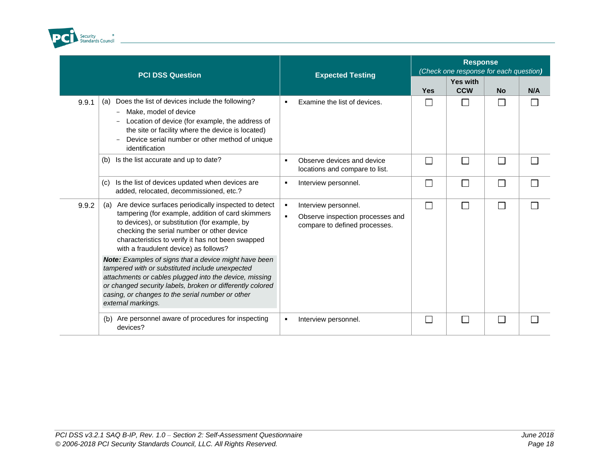

|       | <b>PCI DSS Question</b>                                                                                                                                                                                                                                                                                          | <b>Expected Testing</b>                                                                                                       | <b>Response</b><br>(Check one response for each question) |                               |              |     |  |
|-------|------------------------------------------------------------------------------------------------------------------------------------------------------------------------------------------------------------------------------------------------------------------------------------------------------------------|-------------------------------------------------------------------------------------------------------------------------------|-----------------------------------------------------------|-------------------------------|--------------|-----|--|
|       |                                                                                                                                                                                                                                                                                                                  |                                                                                                                               | <b>Yes</b>                                                | <b>Yes with</b><br><b>CCW</b> | <b>No</b>    | N/A |  |
| 9.9.1 | Does the list of devices include the following?<br>(a)<br>Make, model of device<br>Location of device (for example, the address of<br>the site or facility where the device is located)<br>Device serial number or other method of unique<br>identification                                                      | Examine the list of devices.<br>٠                                                                                             | $\Box$                                                    | $\Box$                        |              |     |  |
|       | Is the list accurate and up to date?<br>(b)                                                                                                                                                                                                                                                                      | Observe devices and device<br>$\blacksquare$<br>locations and compare to list.                                                | $\Box$                                                    | П                             | $\mathbf{L}$ |     |  |
|       | Is the list of devices updated when devices are<br>(c)<br>added, relocated, decommissioned, etc.?                                                                                                                                                                                                                | Interview personnel.<br>٠                                                                                                     | $\Box$                                                    | $\Box$                        |              |     |  |
| 9.9.2 | Are device surfaces periodically inspected to detect<br>(a)<br>tampering (for example, addition of card skimmers<br>to devices), or substitution (for example, by<br>checking the serial number or other device<br>characteristics to verify it has not been swapped<br>with a fraudulent device) as follows?    | Interview personnel.<br>$\blacksquare$<br>$\blacksquare$<br>Observe inspection processes and<br>compare to defined processes. | $\Box$                                                    | П                             |              |     |  |
|       | <b>Note:</b> Examples of signs that a device might have been<br>tampered with or substituted include unexpected<br>attachments or cables plugged into the device, missing<br>or changed security labels, broken or differently colored<br>casing, or changes to the serial number or other<br>external markings. |                                                                                                                               |                                                           |                               |              |     |  |
|       | Are personnel aware of procedures for inspecting<br>(b)<br>devices?                                                                                                                                                                                                                                              | Interview personnel.<br>٠                                                                                                     | $\mathbb{R}^n$                                            | $\Box$                        | $\mathbf{L}$ |     |  |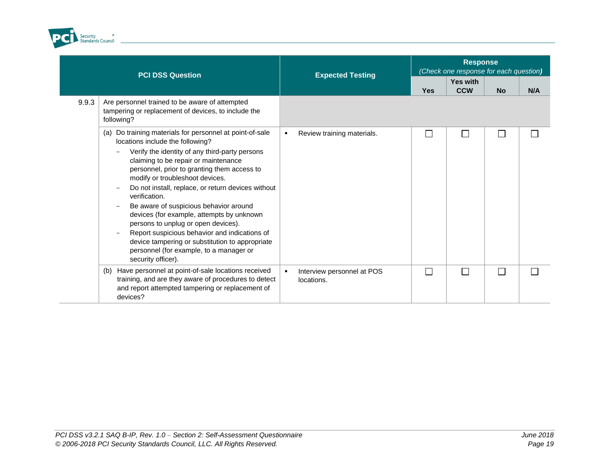

L.

|       | <b>PCI DSS Question</b>                                                                                                                                                                                                                                                                                                                                                                                                                                                                                                                            |  | <b>Expected Testing</b>                  |              | <b>Response</b><br>(Check one response for each question) |           |     |  |  |
|-------|----------------------------------------------------------------------------------------------------------------------------------------------------------------------------------------------------------------------------------------------------------------------------------------------------------------------------------------------------------------------------------------------------------------------------------------------------------------------------------------------------------------------------------------------------|--|------------------------------------------|--------------|-----------------------------------------------------------|-----------|-----|--|--|
|       |                                                                                                                                                                                                                                                                                                                                                                                                                                                                                                                                                    |  |                                          | <b>Yes</b>   | <b>Yes with</b><br><b>CCW</b>                             | <b>No</b> | N/A |  |  |
| 9.9.3 | Are personnel trained to be aware of attempted<br>tampering or replacement of devices, to include the<br>following?                                                                                                                                                                                                                                                                                                                                                                                                                                |  |                                          |              |                                                           |           |     |  |  |
|       | Do training materials for personnel at point-of-sale<br>(a)<br>locations include the following?                                                                                                                                                                                                                                                                                                                                                                                                                                                    |  | Review training materials.               | $\mathbf{I}$ |                                                           |           |     |  |  |
|       | Verify the identity of any third-party persons<br>claiming to be repair or maintenance<br>personnel, prior to granting them access to<br>modify or troubleshoot devices.<br>Do not install, replace, or return devices without<br>verification.<br>Be aware of suspicious behavior around<br>devices (for example, attempts by unknown<br>persons to unplug or open devices).<br>Report suspicious behavior and indications of<br>device tampering or substitution to appropriate<br>personnel (for example, to a manager or<br>security officer). |  |                                          |              |                                                           |           |     |  |  |
|       | Have personnel at point-of-sale locations received<br>(b)<br>training, and are they aware of procedures to detect<br>and report attempted tampering or replacement of<br>devices?                                                                                                                                                                                                                                                                                                                                                                  |  | Interview personnel at POS<br>locations. | П            | $\Box$                                                    |           |     |  |  |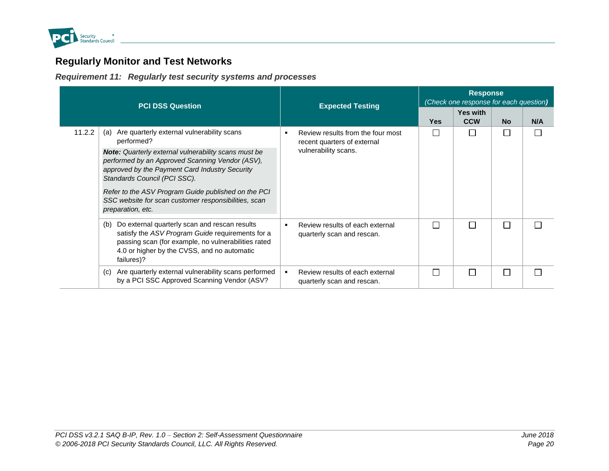

# **Regularly Monitor and Test Networks**

*Requirement 11: Regularly test security systems and processes*

<span id="page-25-1"></span><span id="page-25-0"></span>

| <b>PCI DSS Question</b> |                                                                                                                                                                                                                                                                                                                                                                                                         | <b>Expected Testing</b>                                                                       | <b>Response</b><br>(Check one response for each question) |                        |           |     |  |
|-------------------------|---------------------------------------------------------------------------------------------------------------------------------------------------------------------------------------------------------------------------------------------------------------------------------------------------------------------------------------------------------------------------------------------------------|-----------------------------------------------------------------------------------------------|-----------------------------------------------------------|------------------------|-----------|-----|--|
|                         |                                                                                                                                                                                                                                                                                                                                                                                                         |                                                                                               | <b>Yes</b>                                                | Yes with<br><b>CCW</b> | <b>No</b> | N/A |  |
| 11.2.2                  | Are quarterly external vulnerability scans<br>(a)<br>performed?<br><b>Note:</b> Quarterly external vulnerability scans must be<br>performed by an Approved Scanning Vendor (ASV),<br>approved by the Payment Card Industry Security<br>Standards Council (PCI SSC).<br>Refer to the ASV Program Guide published on the PCI<br>SSC website for scan customer responsibilities, scan<br>preparation, etc. | Review results from the four most<br>٠<br>recent quarters of external<br>vulnerability scans. |                                                           |                        |           |     |  |
|                         | Do external quarterly scan and rescan results<br>(b)<br>satisfy the ASV Program Guide requirements for a<br>passing scan (for example, no vulnerabilities rated<br>4.0 or higher by the CVSS, and no automatic<br>failures)?                                                                                                                                                                            | Review results of each external<br>٠<br>quarterly scan and rescan.                            |                                                           | Г                      |           |     |  |
|                         | Are quarterly external vulnerability scans performed<br>(C)<br>by a PCI SSC Approved Scanning Vendor (ASV?                                                                                                                                                                                                                                                                                              | $\blacksquare$<br>Review results of each external<br>quarterly scan and rescan.               |                                                           | L                      |           |     |  |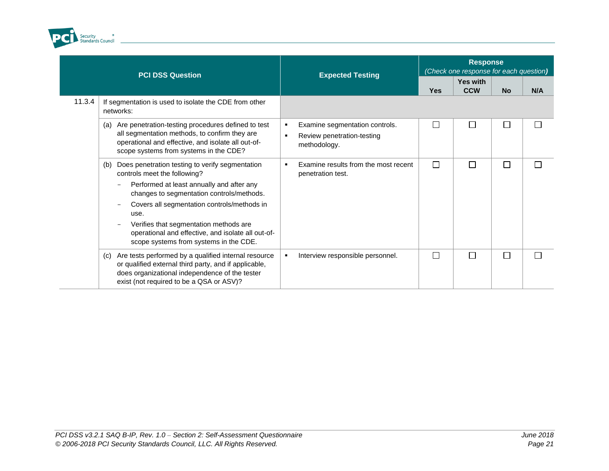

| <b>PCI DSS Question</b> |                                                                                                                                                                                                                                                                                                                                                                                   | <b>Expected Testing</b>                                                                             | <b>Response</b><br>(Check one response for each question) |                        |           |     |
|-------------------------|-----------------------------------------------------------------------------------------------------------------------------------------------------------------------------------------------------------------------------------------------------------------------------------------------------------------------------------------------------------------------------------|-----------------------------------------------------------------------------------------------------|-----------------------------------------------------------|------------------------|-----------|-----|
|                         |                                                                                                                                                                                                                                                                                                                                                                                   |                                                                                                     | <b>Yes</b>                                                | Yes with<br><b>CCW</b> | <b>No</b> | N/A |
| 11.3.4                  | If segmentation is used to isolate the CDE from other<br>networks:                                                                                                                                                                                                                                                                                                                |                                                                                                     |                                                           |                        |           |     |
|                         | Are penetration-testing procedures defined to test<br>(a)<br>all segmentation methods, to confirm they are<br>operational and effective, and isolate all out-of-<br>scope systems from systems in the CDE?                                                                                                                                                                        | Examine segmentation controls.<br>٠<br>Review penetration-testing<br>$\blacksquare$<br>methodology. | $\Box$                                                    | П                      | □         |     |
|                         | Does penetration testing to verify segmentation<br>(b)<br>controls meet the following?<br>Performed at least annually and after any<br>changes to segmentation controls/methods.<br>Covers all segmentation controls/methods in<br>use.<br>Verifies that segmentation methods are<br>operational and effective, and isolate all out-of-<br>scope systems from systems in the CDE. | Examine results from the most recent<br>л.<br>penetration test.                                     | $\Box$                                                    | $\Box$                 | П         |     |
|                         | Are tests performed by a qualified internal resource<br>(c)<br>or qualified external third party, and if applicable,<br>does organizational independence of the tester<br>exist (not required to be a QSA or ASV)?                                                                                                                                                                | Interview responsible personnel.<br>л.                                                              | $\Box$                                                    | П                      | $\Box$    |     |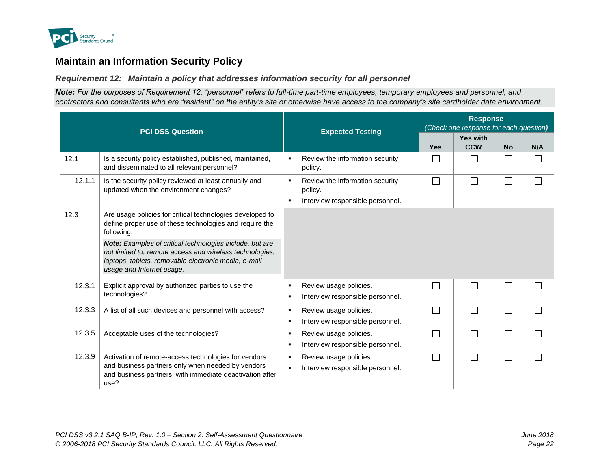

# **Maintain an Information Security Policy**

*Requirement 12: Maintain a policy that addresses information security for all personnel*

*Note: For the purposes of Requirement 12, "personnel" refers to full-time part-time employees, temporary employees and personnel, and contractors and consultants who are "resident" on the entity's site or otherwise have access to the company's site cardholder data environment.*

<span id="page-27-1"></span><span id="page-27-0"></span>

|        | <b>PCI DSS Question</b>                                                                                                                                                                                   | <b>Expected Testing</b>                                                        | <b>Response</b><br>(Check one response for each question) |                             |           |     |  |
|--------|-----------------------------------------------------------------------------------------------------------------------------------------------------------------------------------------------------------|--------------------------------------------------------------------------------|-----------------------------------------------------------|-----------------------------|-----------|-----|--|
|        |                                                                                                                                                                                                           |                                                                                | <b>Yes</b>                                                | Yes with<br><b>CCW</b>      | <b>No</b> | N/A |  |
| 12.1   | Is a security policy established, published, maintained,<br>and disseminated to all relevant personnel?                                                                                                   | Review the information security<br>policy.                                     | П                                                         | $\Box$                      |           |     |  |
| 12.1.1 | Is the security policy reviewed at least annually and<br>updated when the environment changes?                                                                                                            | Review the information security<br>policy.<br>Interview responsible personnel. | $\Box$                                                    | П                           | $\Box$    |     |  |
| 12.3   | Are usage policies for critical technologies developed to<br>define proper use of these technologies and require the<br>following:                                                                        |                                                                                |                                                           |                             |           |     |  |
|        | Note: Examples of critical technologies include, but are<br>not limited to, remote access and wireless technologies,<br>laptops, tablets, removable electronic media, e-mail<br>usage and Internet usage. |                                                                                |                                                           |                             |           |     |  |
| 12.3.1 | Explicit approval by authorized parties to use the<br>technologies?                                                                                                                                       | Review usage policies.<br>$\blacksquare$<br>Interview responsible personnel.   | П                                                         | $\mathcal{L}_{\mathcal{A}}$ | H         |     |  |
| 12.3.3 | A list of all such devices and personnel with access?                                                                                                                                                     | Review usage policies.<br>Interview responsible personnel.<br>п.               | П                                                         | П                           | $\Box$    |     |  |
| 12.3.5 | Acceptable uses of the technologies?                                                                                                                                                                      | Review usage policies.<br>Interview responsible personnel.<br>$\blacksquare$   | $\Box$                                                    | П                           | $\Box$    |     |  |
| 12.3.9 | Activation of remote-access technologies for vendors<br>and business partners only when needed by vendors<br>and business partners, with immediate deactivation after<br>use?                             | Review usage policies.<br>Interview responsible personnel.                     | $\Box$                                                    | $\Box$                      | $\Box$    |     |  |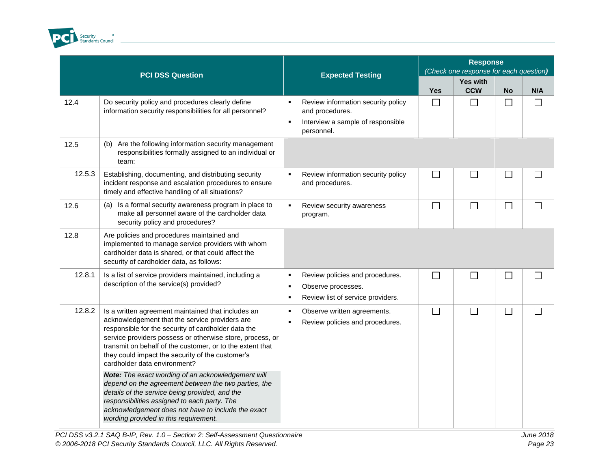

|        | <b>PCI DSS Question</b>                                                                                                                                                                                                                                                                                                                                                                                                                                                                                                                                                                   |                                                    | <b>Expected Testing</b>                                                                                  | <b>Response</b><br>(Check one response for each question) |                               |              |        |
|--------|-------------------------------------------------------------------------------------------------------------------------------------------------------------------------------------------------------------------------------------------------------------------------------------------------------------------------------------------------------------------------------------------------------------------------------------------------------------------------------------------------------------------------------------------------------------------------------------------|----------------------------------------------------|----------------------------------------------------------------------------------------------------------|-----------------------------------------------------------|-------------------------------|--------------|--------|
|        |                                                                                                                                                                                                                                                                                                                                                                                                                                                                                                                                                                                           |                                                    |                                                                                                          | <b>Yes</b>                                                | <b>Yes with</b><br><b>CCW</b> | <b>No</b>    | N/A    |
| 12.4   | Do security policy and procedures clearly define<br>information security responsibilities for all personnel?                                                                                                                                                                                                                                                                                                                                                                                                                                                                              | $\blacksquare$                                     | Review information security policy<br>and procedures.<br>Interview a sample of responsible<br>personnel. | $\Box$                                                    | $\Box$                        | $\Box$       |        |
| 12.5   | (b) Are the following information security management<br>responsibilities formally assigned to an individual or<br>team:                                                                                                                                                                                                                                                                                                                                                                                                                                                                  |                                                    |                                                                                                          |                                                           |                               |              |        |
| 12.5.3 | Establishing, documenting, and distributing security<br>incident response and escalation procedures to ensure<br>timely and effective handling of all situations?                                                                                                                                                                                                                                                                                                                                                                                                                         | $\blacksquare$                                     | Review information security policy<br>and procedures.                                                    | $\Box$                                                    | $\Box$                        | $\mathbf{L}$ |        |
| 12.6   | (a) Is a formal security awareness program in place to<br>make all personnel aware of the cardholder data<br>security policy and procedures?                                                                                                                                                                                                                                                                                                                                                                                                                                              | $\blacksquare$                                     | Review security awareness<br>program.                                                                    | $\Box$                                                    | $\Box$                        | $\Box$       | $\Box$ |
| 12.8   | Are policies and procedures maintained and<br>implemented to manage service providers with whom<br>cardholder data is shared, or that could affect the<br>security of cardholder data, as follows:                                                                                                                                                                                                                                                                                                                                                                                        |                                                    |                                                                                                          |                                                           |                               |              |        |
| 12.8.1 | Is a list of service providers maintained, including a<br>description of the service(s) provided?                                                                                                                                                                                                                                                                                                                                                                                                                                                                                         | $\blacksquare$<br>$\blacksquare$<br>$\blacksquare$ | Review policies and procedures.<br>Observe processes.<br>Review list of service providers.               | $\Box$                                                    | $\Box$                        | $\mathbf{L}$ |        |
| 12.8.2 | Is a written agreement maintained that includes an<br>acknowledgement that the service providers are<br>responsible for the security of cardholder data the<br>service providers possess or otherwise store, process, or<br>transmit on behalf of the customer, or to the extent that<br>they could impact the security of the customer's<br>cardholder data environment?<br>Note: The exact wording of an acknowledgement will<br>depend on the agreement between the two parties, the<br>details of the service being provided, and the<br>responsibilities assigned to each party. The | $\blacksquare$<br>$\blacksquare$                   | Observe written agreements.<br>Review policies and procedures.                                           | $\Box$                                                    | $\Box$                        | □            |        |
|        | acknowledgement does not have to include the exact<br>wording provided in this requirement.                                                                                                                                                                                                                                                                                                                                                                                                                                                                                               |                                                    |                                                                                                          |                                                           |                               |              |        |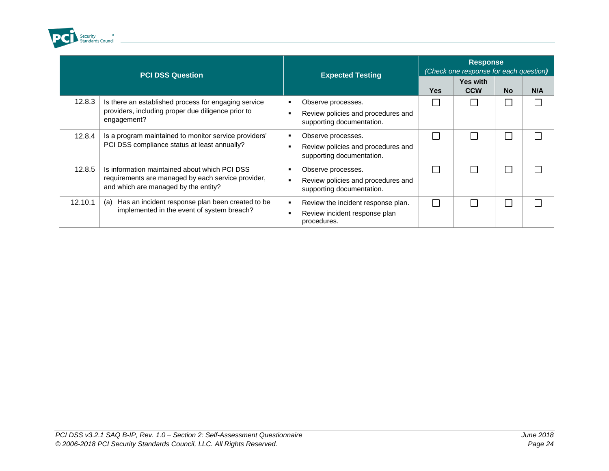

| <b>PCI DSS Question</b> |                                                                                                                                             | <b>Expected Testing</b>                                                               | <b>Response</b><br>(Check one response for each question) |                               |           |     |  |
|-------------------------|---------------------------------------------------------------------------------------------------------------------------------------------|---------------------------------------------------------------------------------------|-----------------------------------------------------------|-------------------------------|-----------|-----|--|
|                         |                                                                                                                                             |                                                                                       | <b>Yes</b>                                                | <b>Yes with</b><br><b>CCW</b> | <b>No</b> | N/A |  |
| 12.8.3                  | Is there an established process for engaging service<br>providers, including proper due diligence prior to<br>engagement?                   | Observe processes.<br>Review policies and procedures and<br>supporting documentation. |                                                           |                               |           |     |  |
| 12.8.4                  | Is a program maintained to monitor service providers'<br>PCI DSS compliance status at least annually?                                       | Observe processes.<br>Review policies and procedures and<br>supporting documentation. |                                                           |                               |           |     |  |
| 12.8.5                  | Is information maintained about which PCI DSS<br>requirements are managed by each service provider,<br>and which are managed by the entity? | Observe processes.<br>Review policies and procedures and<br>supporting documentation. |                                                           |                               |           |     |  |
| 12.10.1                 | Has an incident response plan been created to be<br>(a)<br>implemented in the event of system breach?                                       | Review the incident response plan.<br>Review incident response plan<br>procedures.    |                                                           |                               |           |     |  |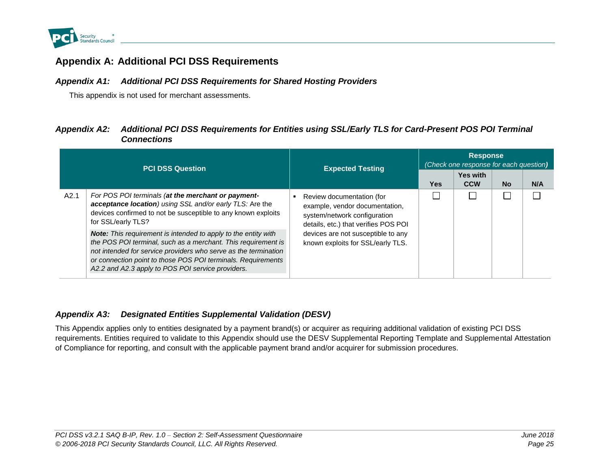

### **Appendix A: Additional PCI DSS Requirements**

### *Appendix A1: Additional PCI DSS Requirements for Shared Hosting Providers*

This appendix is not used for merchant assessments.

### *Appendix A2: Additional PCI DSS Requirements for Entities using SSL/Early TLS for Card-Present POS POI Terminal Connections*

<span id="page-30-1"></span><span id="page-30-0"></span>

| <b>PCI DSS Question</b> |                                                                                                                                                                                                                                                                                                                                |  | <b>Expected Testing</b>                                                                                                             | <b>Response</b><br>(Check one response for each question) |                               |           |     |  |
|-------------------------|--------------------------------------------------------------------------------------------------------------------------------------------------------------------------------------------------------------------------------------------------------------------------------------------------------------------------------|--|-------------------------------------------------------------------------------------------------------------------------------------|-----------------------------------------------------------|-------------------------------|-----------|-----|--|
|                         |                                                                                                                                                                                                                                                                                                                                |  |                                                                                                                                     | Yes                                                       | <b>Yes with</b><br><b>CCW</b> | <b>No</b> | N/A |  |
| A2.1                    | For POS POI terminals (at the merchant or payment-<br>acceptance location) using SSL and/or early TLS: Are the<br>devices confirmed to not be susceptible to any known exploits<br>for SSL/early TLS?                                                                                                                          |  | Review documentation (for<br>example, vendor documentation,<br>system/network configuration<br>details, etc.) that verifies POS POI |                                                           |                               |           |     |  |
|                         | <b>Note:</b> This requirement is intended to apply to the entity with<br>the POS POI terminal, such as a merchant. This requirement is<br>not intended for service providers who serve as the termination<br>or connection point to those POS POI terminals. Requirements<br>A2.2 and A2.3 apply to POS POI service providers. |  | devices are not susceptible to any<br>known exploits for SSL/early TLS.                                                             |                                                           |                               |           |     |  |

### <span id="page-30-2"></span>*Appendix A3: Designated Entities Supplemental Validation (DESV)*

<span id="page-30-3"></span>This Appendix applies only to entities designated by a payment brand(s) or acquirer as requiring additional validation of existing PCI DSS requirements. Entities required to validate to this Appendix should use the DESV Supplemental Reporting Template and Supplemental Attestation of Compliance for reporting, and consult with the applicable payment brand and/or acquirer for submission procedures.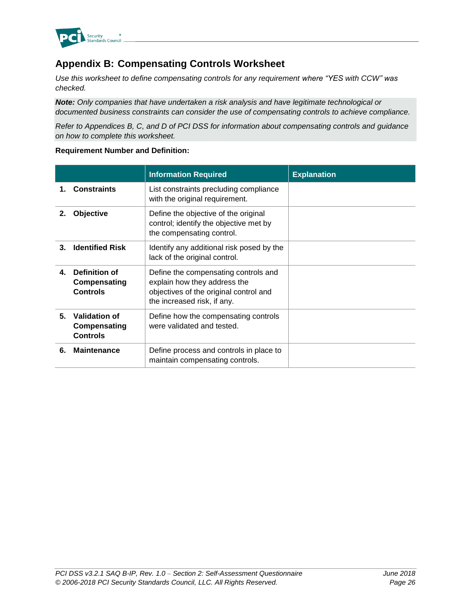

# <span id="page-31-0"></span>**Appendix B: Compensating Controls Worksheet**

*Use this worksheet to define compensating controls for any requirement where "YES with CCW" was checked.*

*Note: Only companies that have undertaken a risk analysis and have legitimate technological or documented business constraints can consider the use of compensating controls to achieve compliance.*

*Refer to Appendices B, C, and D of PCI DSS for information about compensating controls and guidance on how to complete this worksheet.*

#### **Requirement Number and Definition:**

|    |                                                  | <b>Information Required</b>                                                                                                                   | <b>Explanation</b> |
|----|--------------------------------------------------|-----------------------------------------------------------------------------------------------------------------------------------------------|--------------------|
|    | <b>Constraints</b>                               | List constraints precluding compliance<br>with the original requirement.                                                                      |                    |
| 2. | Objective                                        | Define the objective of the original<br>control; identify the objective met by<br>the compensating control.                                   |                    |
| 3. | <b>Identified Risk</b>                           | Identify any additional risk posed by the<br>lack of the original control.                                                                    |                    |
| 4. | Definition of<br>Compensating<br><b>Controls</b> | Define the compensating controls and<br>explain how they address the<br>objectives of the original control and<br>the increased risk, if any. |                    |
| 5. | Validation of<br>Compensating<br><b>Controls</b> | Define how the compensating controls<br>were validated and tested.                                                                            |                    |
| 6. | <b>Maintenance</b>                               | Define process and controls in place to<br>maintain compensating controls.                                                                    |                    |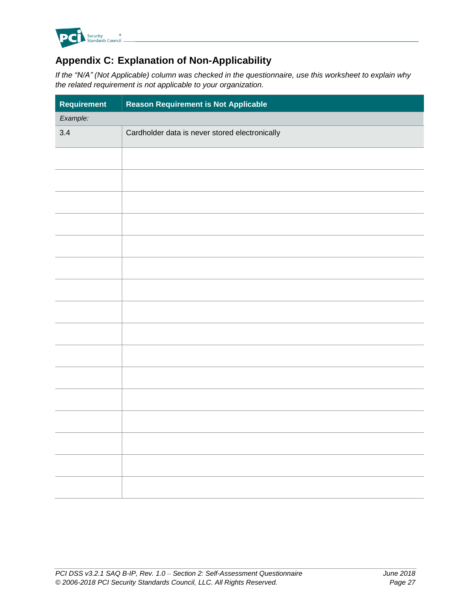

# <span id="page-32-0"></span>**Appendix C: Explanation of Non-Applicability**

*If the "N/A" (Not Applicable) column was checked in the questionnaire, use this worksheet to explain why the related requirement is not applicable to your organization.*

| Requirement | <b>Reason Requirement is Not Applicable</b>    |  |
|-------------|------------------------------------------------|--|
| Example:    |                                                |  |
| 3.4         | Cardholder data is never stored electronically |  |
|             |                                                |  |
|             |                                                |  |
|             |                                                |  |
|             |                                                |  |
|             |                                                |  |
|             |                                                |  |
|             |                                                |  |
|             |                                                |  |
|             |                                                |  |
|             |                                                |  |
|             |                                                |  |
|             |                                                |  |
|             |                                                |  |
|             |                                                |  |
|             |                                                |  |
|             |                                                |  |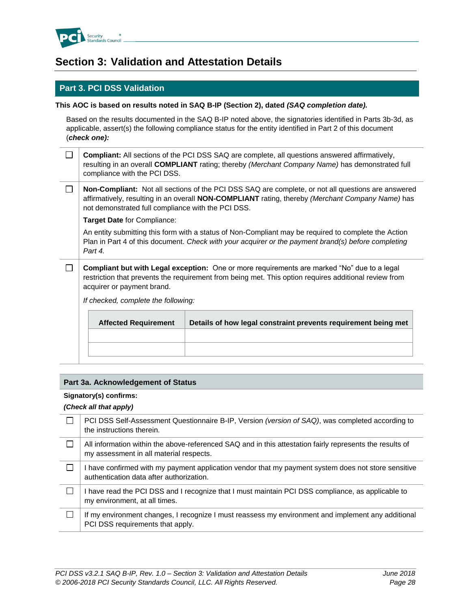

# <span id="page-33-0"></span>**Section 3: Validation and Attestation Details**

### **Part 3. PCI DSS Validation**

#### **This AOC is based on results noted in SAQ B-IP (Section 2), dated** *(SAQ completion date).*

Based on the results documented in the SAQ B-IP noted above, the signatories identified in Parts 3b-3d, as applicable, assert(s) the following compliance status for the entity identified in Part 2 of this document (*check one):*

| $\Box$ <b>Compliant:</b> All sections of the PCI DSS SAQ are complete, all questions answered affirmatively, |
|--------------------------------------------------------------------------------------------------------------|
| resulting in an overall COMPLIANT rating; thereby (Merchant Company Name) has demonstrated full              |
| compliance with the PCI DSS.                                                                                 |

 $\Box$ **Non-Compliant:** Not all sections of the PCI DSS SAQ are complete, or not all questions are answered affirmatively, resulting in an overall **NON-COMPLIANT** rating, thereby *(Merchant Company Name)* has not demonstrated full compliance with the PCI DSS.

**Target Date** for Compliance:

An entity submitting this form with a status of Non-Compliant may be required to complete the Action Plan in Part 4 of this document. *Check with your acquirer or the payment brand(s) before completing Part 4.*

 $\Box$ **Compliant but with Legal exception:** One or more requirements are marked "No" due to a legal restriction that prevents the requirement from being met. This option requires additional review from acquirer or payment brand.

*If checked, complete the following:*

| <b>Affected Requirement</b> | Details of how legal constraint prevents requirement being met |
|-----------------------------|----------------------------------------------------------------|
|                             |                                                                |
|                             |                                                                |
|                             |                                                                |

#### **Part 3a. Acknowledgement of Status**

#### **Signatory(s) confirms:**

#### *(Check all that apply)*

| PCI DSS Self-Assessment Questionnaire B-IP, Version (version of SAQ), was completed according to<br>the instructions therein.                       |
|-----------------------------------------------------------------------------------------------------------------------------------------------------|
| All information within the above-referenced SAQ and in this attestation fairly represents the results of<br>my assessment in all material respects. |
| I have confirmed with my payment application vendor that my payment system does not store sensitive<br>authentication data after authorization.     |
| I have read the PCI DSS and I recognize that I must maintain PCI DSS compliance, as applicable to<br>my environment, at all times.                  |
| If my environment changes, I recognize I must reassess my environment and implement any additional<br>PCI DSS requirements that apply.              |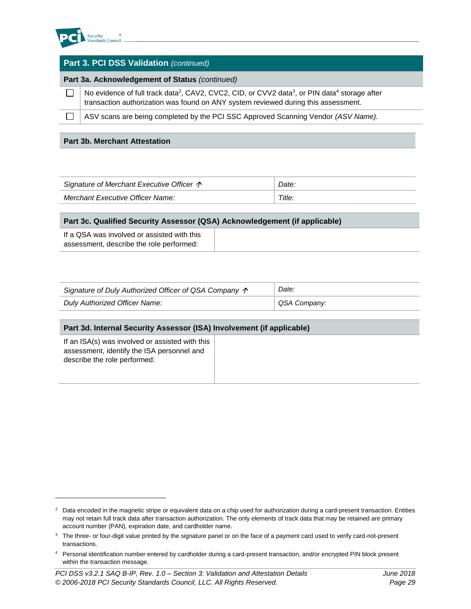

l

| <b>Part 3. PCI DSS Validation (continued)</b>  |                                                                                                                                                                                                                         |  |  |
|------------------------------------------------|-------------------------------------------------------------------------------------------------------------------------------------------------------------------------------------------------------------------------|--|--|
| Part 3a. Acknowledgement of Status (continued) |                                                                                                                                                                                                                         |  |  |
|                                                | No evidence of full track data <sup>2</sup> , CAV2, CVC2, CID, or CVV2 data <sup>3</sup> , or PIN data <sup>4</sup> storage after<br>transaction authorization was found on ANY system reviewed during this assessment. |  |  |
|                                                | ASV scans are being completed by the PCI SSC Approved Scanning Vendor (ASV Name).                                                                                                                                       |  |  |
|                                                |                                                                                                                                                                                                                         |  |  |

#### **Part 3b. Merchant Attestation**

| Signature of Merchant Executive Officer $\Lambda$ | Date.  |
|---------------------------------------------------|--------|
| Merchant Executive Officer Name:                  | Title. |

| Part 3c. Qualified Security Assessor (QSA) Acknowledgement (if applicable)              |  |  |  |
|-----------------------------------------------------------------------------------------|--|--|--|
| If a QSA was involved or assisted with this<br>assessment, describe the role performed: |  |  |  |

| Signature of Duly Authorized Officer of QSA Company $\uparrow$ | Date:        |
|----------------------------------------------------------------|--------------|
| Duly Authorized Officer Name:                                  | QSA Company: |

#### **Part 3d. Internal Security Assessor (ISA) Involvement (if applicable)**

| If an ISA(s) was involved or assisted with this |  |
|-------------------------------------------------|--|
| assessment, identify the ISA personnel and      |  |
| describe the role performed:                    |  |
|                                                 |  |

<sup>&</sup>lt;sup>2</sup> Data encoded in the magnetic stripe or equivalent data on a chip used for authorization during a card-present transaction. Entities may not retain full track data after transaction authorization. The only elements of track data that may be retained are primary account number (PAN), expiration date, and cardholder name.

<sup>&</sup>lt;sup>3</sup> The three- or four-digit value printed by the signature panel or on the face of a payment card used to verify card-not-present transactions.

<sup>4</sup> Personal identification number entered by cardholder during a card-present transaction, and/or encrypted PIN block present within the transaction message.